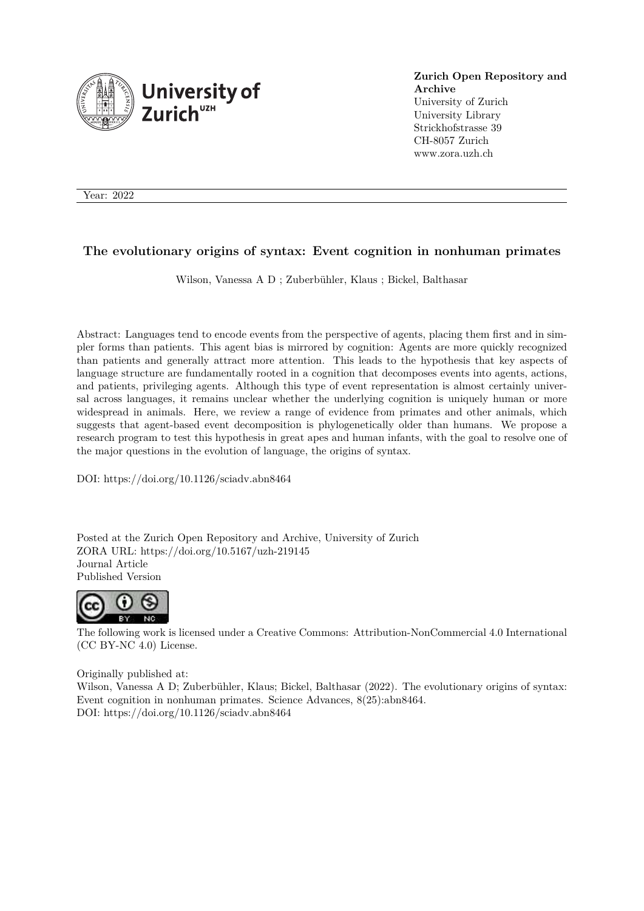

**Zurich Open Repository and Archive** University of Zurich University Library Strickhofstrasse 39 CH-8057 Zurich www.zora.uzh.ch

Year: 2022

### **The evolutionary origins of syntax: Event cognition in nonhuman primates**

Wilson, Vanessa A D ; Zuberbühler, Klaus ; Bickel, Balthasar

Abstract: Languages tend to encode events from the perspective of agents, placing them first and in simpler forms than patients. This agent bias is mirrored by cognition: Agents are more quickly recognized than patients and generally attract more attention. This leads to the hypothesis that key aspects of language structure are fundamentally rooted in a cognition that decomposes events into agents, actions, and patients, privileging agents. Although this type of event representation is almost certainly universal across languages, it remains unclear whether the underlying cognition is uniquely human or more widespread in animals. Here, we review a range of evidence from primates and other animals, which suggests that agent-based event decomposition is phylogenetically older than humans. We propose a research program to test this hypothesis in great apes and human infants, with the goal to resolve one of the major questions in the evolution of language, the origins of syntax.

DOI: https://doi.org/10.1126/sciadv.abn8464

Posted at the Zurich Open Repository and Archive, University of Zurich ZORA URL: https://doi.org/10.5167/uzh-219145 Journal Article Published Version



The following work is licensed under a Creative Commons: Attribution-NonCommercial 4.0 International (CC BY-NC 4.0) License.

Originally published at:

Wilson, Vanessa A D; Zuberbühler, Klaus; Bickel, Balthasar (2022). The evolutionary origins of syntax: Event cognition in nonhuman primates. Science Advances, 8(25):abn8464. DOI: https://doi.org/10.1126/sciadv.abn8464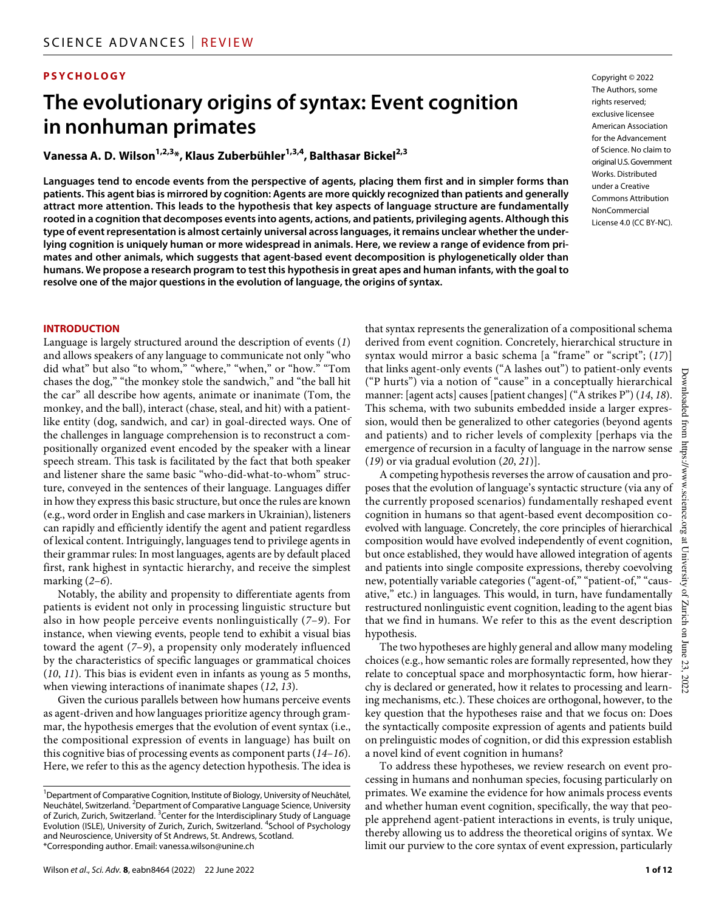#### **PSYCHOLOGY**

# **The evolutionary origins of syntax: Event cognition in nonhuman primates**

**Vanessa A. D. Wilson1,2,3\*, Klaus Zuberbühler1,3,4, Balthasar Bickel2,3**

**Languages tend to encode events from the perspective of agents, placing them first and in simpler forms than patients. This agent bias is mirrored by cognition: Agents are more quickly recognized than patients and generally attract more attention. This leads to the hypothesis that key aspects of language structure are fundamentally rooted in a cognition that decomposes events into agents, actions, and patients, privileging agents. Although this type of event representation is almost certainly universal across languages, it remains unclear whether the underlying cognition is uniquely human or more widespread in animals. Here, we review a range of evidence from primates and other animals, which suggests that agent-based event decomposition is phylogenetically older than humans. We propose a research program to test this hypothesis in great apes and human infants, with the goal to resolve one of the major questions in the evolution of language, the origins of syntax.**

#### Copyright © 2022 The Authors, some rights reserved: exclusive licensee American Association for the Advancement of Science. No claim to original U.S. Government Works. Distributed under a Creative Commons Attribution **NonCommercial** License 4.0 (CC BY-NC).

#### **INTRODUCTION**

Language is largely structured around the description of events (*1*) and allows speakers of any language to communicate not only "who did what" but also "to whom," "where," "when," or "how." "Tom chases the dog," "the monkey stole the sandwich," and "the ball hit the car" all describe how agents, animate or inanimate (Tom, the monkey, and the ball), interact (chase, steal, and hit) with a patientlike entity (dog, sandwich, and car) in goal-directed ways. One of the challenges in language comprehension is to reconstruct a compositionally organized event encoded by the speaker with a linear speech stream. This task is facilitated by the fact that both speaker and listener share the same basic "who-did-what-to-whom" structure, conveyed in the sentences of their language. Languages differ in how they express this basic structure, but once the rules are known (e.g., word order in English and case markers in Ukrainian), listeners can rapidly and efficiently identify the agent and patient regardless of lexical content. Intriguingly, languages tend to privilege agents in their grammar rules: In most languages, agents are by default placed first, rank highest in syntactic hierarchy, and receive the simplest marking (*2*–*6*).

Notably, the ability and propensity to differentiate agents from patients is evident not only in processing linguistic structure but also in how people perceive events nonlinguistically (*7*–*9*). For instance, when viewing events, people tend to exhibit a visual bias toward the agent (*7*–*9*), a propensity only moderately influenced by the characteristics of specific languages or grammatical choices (*10*, *11*). This bias is evident even in infants as young as 5 months, when viewing interactions of inanimate shapes (*12*, *13*).

Given the curious parallels between how humans perceive events as agent-driven and how languages prioritize agency through grammar, the hypothesis emerges that the evolution of event syntax (i.e., the compositional expression of events in language) has built on this cognitive bias of processing events as component parts (*14*–*16*). Here, we refer to this as the agency detection hypothesis. The idea is that syntax represents the generalization of a compositional schema derived from event cognition. Concretely, hierarchical structure in syntax would mirror a basic schema [a "frame" or "script"; (*17*)] that links agent-only events ("A lashes out") to patient-only events ("P hurts") via a notion of "cause" in a conceptually hierarchical manner: [agent acts] causes [patient changes] ("A strikes P") (*14*, *18*). This schema, with two subunits embedded inside a larger expression, would then be generalized to other categories (beyond agents and patients) and to richer levels of complexity [perhaps via the emergence of recursion in a faculty of language in the narrow sense (*19*) or via gradual evolution (*20*, *21*)].

A competing hypothesis reverses the arrow of causation and proposes that the evolution of language's syntactic structure (via any of the currently proposed scenarios) fundamentally reshaped event cognition in humans so that agent-based event decomposition coevolved with language. Concretely, the core principles of hierarchical composition would have evolved independently of event cognition, but once established, they would have allowed integration of agents and patients into single composite expressions, thereby coevolving new, potentially variable categories ("agent-of," "patient-of," "causative," etc.) in languages. This would, in turn, have fundamentally restructured nonlinguistic event cognition, leading to the agent bias that we find in humans. We refer to this as the event description hypothesis.

The two hypotheses are highly general and allow many modeling choices (e.g., how semantic roles are formally represented, how they relate to conceptual space and morphosyntactic form, how hierarchy is declared or generated, how it relates to processing and learning mechanisms, etc.). These choices are orthogonal, however, to the key question that the hypotheses raise and that we focus on: Does the syntactically composite expression of agents and patients build on prelinguistic modes of cognition, or did this expression establish a novel kind of event cognition in humans?

To address these hypotheses, we review research on event processing in humans and nonhuman species, focusing particularly on primates. We examine the evidence for how animals process events and whether human event cognition, specifically, the way that people apprehend agent-patient interactions in events, is truly unique, thereby allowing us to address the theoretical origins of syntax. We limit our purview to the core syntax of event expression, particularly

<sup>&</sup>lt;sup>1</sup>Department of Comparative Cognition, Institute of Biology, University of Neuchâtel, Neuchâtel, Switzerland. 2Department of Comparative Language Science, University of Zurich, Zurich, Switzerland. <sup>3</sup> Center for the Interdisciplinary Study of Language Evolution (ISLE), University of Zurich, Zurich, Switzerland. <sup>4</sup>School of Psychology and Neuroscience, University of St Andrews, St. Andrews, Scotland. \*Corresponding author. Email: vanessa.wilson@unine.ch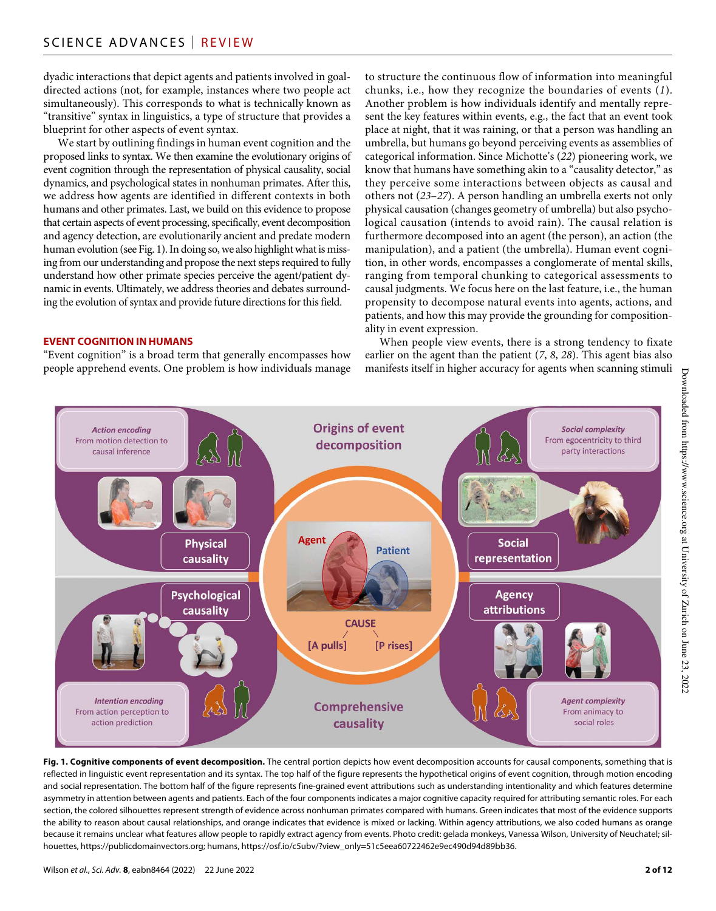dyadic interactions that depict agents and patients involved in goaldirected actions (not, for example, instances where two people act simultaneously). This corresponds to what is technically known as "transitive" syntax in linguistics, a type of structure that provides a blueprint for other aspects of event syntax.

We start by outlining findings in human event cognition and the proposed links to syntax. We then examine the evolutionary origins of event cognition through the representation of physical causality, social dynamics, and psychological states in nonhuman primates. After this, we address how agents are identified in different contexts in both humans and other primates. Last, we build on this evidence to propose that certain aspects of event processing, specifically, event decomposition and agency detection, are evolutionarily ancient and predate modern human evolution (see Fig. 1). In doing so, we also highlight what is missing from our understanding and propose the next steps required to fully understand how other primate species perceive the agent/patient dynamic in events. Ultimately, we address theories and debates surrounding the evolution of syntax and provide future directions for this field.

#### **EVENT COGNITION IN HUMANS**

"Event cognition" is a broad term that generally encompasses how people apprehend events. One problem is how individuals manage to structure the continuous flow of information into meaningful chunks, i.e., how they recognize the boundaries of events (*1*). Another problem is how individuals identify and mentally represent the key features within events, e.g., the fact that an event took place at night, that it was raining, or that a person was handling an umbrella, but humans go beyond perceiving events as assemblies of categorical information. Since Michotte's (*22*) pioneering work, we know that humans have something akin to a "causality detector," as they perceive some interactions between objects as causal and others not (*23*–*27*). A person handling an umbrella exerts not only physical causation (changes geometry of umbrella) but also psychological causation (intends to avoid rain). The causal relation is furthermore decomposed into an agent (the person), an action (the manipulation), and a patient (the umbrella). Human event cognition, in other words, encompasses a conglomerate of mental skills, ranging from temporal chunking to categorical assessments to causal judgments. We focus here on the last feature, i.e., the human propensity to decompose natural events into agents, actions, and patients, and how this may provide the grounding for compositionality in event expression.

When people view events, there is a strong tendency to fixate earlier on the agent than the patient (*7*, *8*, *28*). This agent bias also manifests itself in higher accuracy for agents when scanning stimuli



**Fig. 1. Cognitive components of event decomposition.** The central portion depicts how event decomposition accounts for causal components, something that is reflected in linguistic event representation and its syntax. The top half of the figure represents the hypothetical origins of event cognition, through motion encoding and social representation. The bottom half of the figure represents fine-grained event attributions such as understanding intentionality and which features determine asymmetry in attention between agents and patients. Each of the four components indicates a major cognitive capacity required for attributing semantic roles. For each section, the colored silhouettes represent strength of evidence across nonhuman primates compared with humans. Green indicates that most of the evidence supports the ability to reason about causal relationships, and orange indicates that evidence is mixed or lacking. Within agency attributions, we also coded humans as orange because it remains unclear what features allow people to rapidly extract agency from events. Photo credit: gelada monkeys, Vanessa Wilson, University of Neuchatel; silhouettes, https://publicdomainvectors.org; humans, https://osf.io/c5ubv/?view\_only=51c5eea60722462e9ec490d94d89bb36.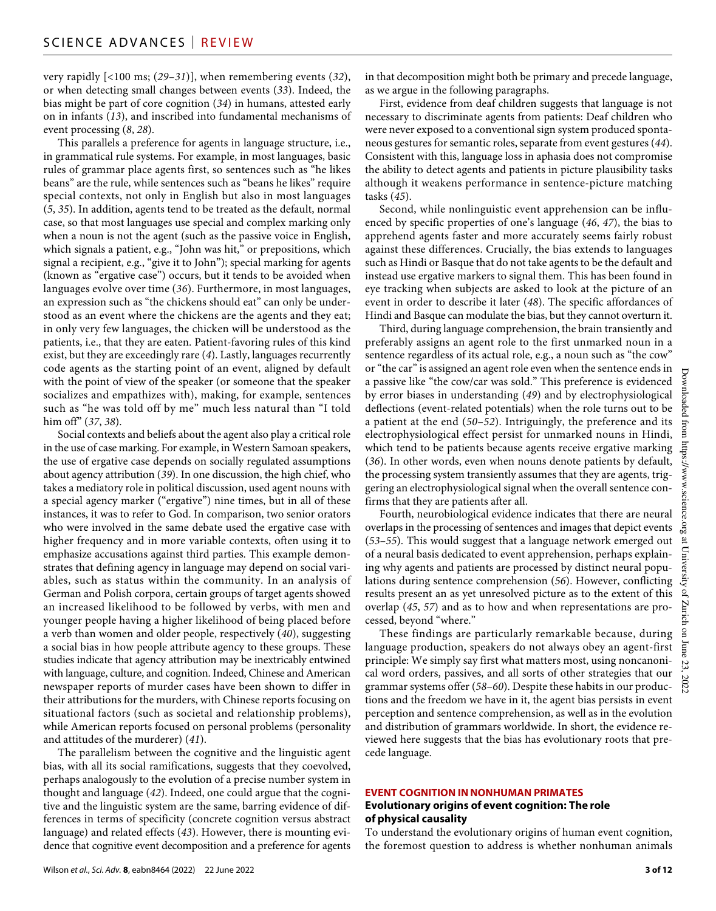very rapidly [<100 ms; (*29*–*31*)], when remembering events (*32*), or when detecting small changes between events (*33*). Indeed, the bias might be part of core cognition (*34*) in humans, attested early on in infants (*13*), and inscribed into fundamental mechanisms of event processing (*8*, *28*).

This parallels a preference for agents in language structure, i.e., in grammatical rule systems. For example, in most languages, basic rules of grammar place agents first, so sentences such as "he likes beans" are the rule, while sentences such as "beans he likes" require special contexts, not only in English but also in most languages (*5*, *35*). In addition, agents tend to be treated as the default, normal case, so that most languages use special and complex marking only when a noun is not the agent (such as the passive voice in English, which signals a patient, e.g., "John was hit," or prepositions, which signal a recipient, e.g., "give it to John"); special marking for agents (known as "ergative case") occurs, but it tends to be avoided when languages evolve over time (*36*). Furthermore, in most languages, an expression such as "the chickens should eat" can only be understood as an event where the chickens are the agents and they eat; in only very few languages, the chicken will be understood as the patients, i.e., that they are eaten. Patient-favoring rules of this kind exist, but they are exceedingly rare (*4*). Lastly, languages recurrently code agents as the starting point of an event, aligned by default with the point of view of the speaker (or someone that the speaker socializes and empathizes with), making, for example, sentences such as "he was told off by me" much less natural than "I told him off" (*37*, *38*).

Social contexts and beliefs about the agent also play a critical role in the use of case marking. For example, in Western Samoan speakers, the use of ergative case depends on socially regulated assumptions about agency attribution (*39*). In one discussion, the high chief, who takes a mediatory role in political discussion, used agent nouns with a special agency marker ("ergative") nine times, but in all of these instances, it was to refer to God. In comparison, two senior orators who were involved in the same debate used the ergative case with higher frequency and in more variable contexts, often using it to emphasize accusations against third parties. This example demonstrates that defining agency in language may depend on social variables, such as status within the community. In an analysis of German and Polish corpora, certain groups of target agents showed an increased likelihood to be followed by verbs, with men and younger people having a higher likelihood of being placed before a verb than women and older people, respectively (*40*), suggesting a social bias in how people attribute agency to these groups. These studies indicate that agency attribution may be inextricably entwined with language, culture, and cognition. Indeed, Chinese and American newspaper reports of murder cases have been shown to differ in their attributions for the murders, with Chinese reports focusing on situational factors (such as societal and relationship problems), while American reports focused on personal problems (personality and attitudes of the murderer) (*41*).

The parallelism between the cognitive and the linguistic agent bias, with all its social ramifications, suggests that they coevolved, perhaps analogously to the evolution of a precise number system in thought and language (*42*). Indeed, one could argue that the cognitive and the linguistic system are the same, barring evidence of differences in terms of specificity (concrete cognition versus abstract language) and related effects (*43*). However, there is mounting evidence that cognitive event decomposition and a preference for agents

in that decomposition might both be primary and precede language, as we argue in the following paragraphs.

First, evidence from deaf children suggests that language is not necessary to discriminate agents from patients: Deaf children who were never exposed to a conventional sign system produced spontaneous gestures for semantic roles, separate from event gestures (*44*). Consistent with this, language loss in aphasia does not compromise the ability to detect agents and patients in picture plausibility tasks although it weakens performance in sentence-picture matching tasks (*45*).

Second, while nonlinguistic event apprehension can be influenced by specific properties of one's language (*46*, *47*), the bias to apprehend agents faster and more accurately seems fairly robust against these differences. Crucially, the bias extends to languages such as Hindi or Basque that do not take agents to be the default and instead use ergative markers to signal them. This has been found in eye tracking when subjects are asked to look at the picture of an event in order to describe it later (*48*). The specific affordances of Hindi and Basque can modulate the bias, but they cannot overturn it.

Third, during language comprehension, the brain transiently and preferably assigns an agent role to the first unmarked noun in a sentence regardless of its actual role, e.g., a noun such as "the cow" or "the car" is assigned an agent role even when the sentence ends in a passive like "the cow/car was sold." This preference is evidenced by error biases in understanding (*49*) and by electrophysiological deflections (event-related potentials) when the role turns out to be a patient at the end (*50*–*52*). Intriguingly, the preference and its electrophysiological effect persist for unmarked nouns in Hindi, which tend to be patients because agents receive ergative marking (*36*). In other words, even when nouns denote patients by default, the processing system transiently assumes that they are agents, triggering an electrophysiological signal when the overall sentence confirms that they are patients after all.

Fourth, neurobiological evidence indicates that there are neural overlaps in the processing of sentences and images that depict events (*53*–*55*). This would suggest that a language network emerged out of a neural basis dedicated to event apprehension, perhaps explaining why agents and patients are processed by distinct neural populations during sentence comprehension (*56*). However, conflicting results present an as yet unresolved picture as to the extent of this overlap (*45*, *57*) and as to how and when representations are processed, beyond "where."

These findings are particularly remarkable because, during language production, speakers do not always obey an agent-first principle: We simply say first what matters most, using noncanonical word orders, passives, and all sorts of other strategies that our grammar systems offer (*58*–*60*). Despite these habits in our productions and the freedom we have in it, the agent bias persists in event perception and sentence comprehension, as well as in the evolution and distribution of grammars worldwide. In short, the evidence reviewed here suggests that the bias has evolutionary roots that precede language.

#### **EVENT COGNITION IN NONHUMAN PRIMATES Evolutionary origins of event cognition: The role of physical causality**

To understand the evolutionary origins of human event cognition, the foremost question to address is whether nonhuman animals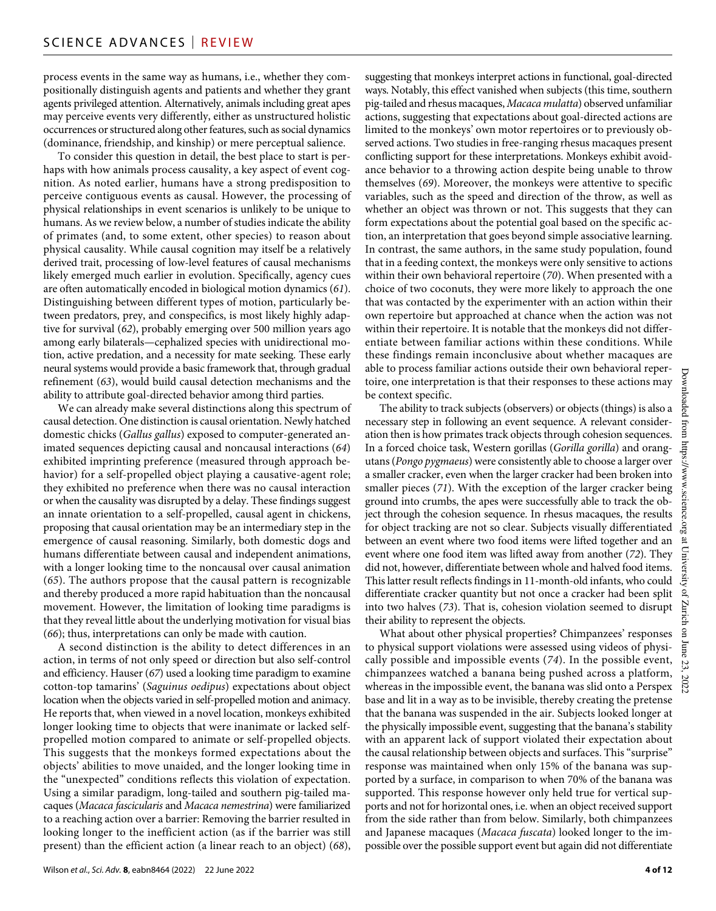process events in the same way as humans, i.e., whether they compositionally distinguish agents and patients and whether they grant agents privileged attention. Alternatively, animals including great apes may perceive events very differently, either as unstructured holistic occurrences or structured along other features, such as social dynamics (dominance, friendship, and kinship) or mere perceptual salience.

To consider this question in detail, the best place to start is perhaps with how animals process causality, a key aspect of event cognition. As noted earlier, humans have a strong predisposition to perceive contiguous events as causal. However, the processing of physical relationships in event scenarios is unlikely to be unique to humans. As we review below, a number of studies indicate the ability of primates (and, to some extent, other species) to reason about physical causality. While causal cognition may itself be a relatively derived trait, processing of low-level features of causal mechanisms likely emerged much earlier in evolution. Specifically, agency cues are often automatically encoded in biological motion dynamics (*61*). Distinguishing between different types of motion, particularly between predators, prey, and conspecifics, is most likely highly adaptive for survival (*62*), probably emerging over 500 million years ago among early bilaterals—cephalized species with unidirectional motion, active predation, and a necessity for mate seeking. These early neural systems would provide a basic framework that, through gradual refinement (*63*), would build causal detection mechanisms and the ability to attribute goal-directed behavior among third parties.

We can already make several distinctions along this spectrum of causal detection. One distinction is causal orientation. Newly hatched domestic chicks (*Gallus gallus*) exposed to computer-generated animated sequences depicting causal and noncausal interactions (*64*) exhibited imprinting preference (measured through approach behavior) for a self-propelled object playing a causative-agent role; they exhibited no preference when there was no causal interaction or when the causality was disrupted by a delay. These findings suggest an innate orientation to a self-propelled, causal agent in chickens, proposing that causal orientation may be an intermediary step in the emergence of causal reasoning. Similarly, both domestic dogs and humans differentiate between causal and independent animations, with a longer looking time to the noncausal over causal animation (*65*). The authors propose that the causal pattern is recognizable and thereby produced a more rapid habituation than the noncausal movement. However, the limitation of looking time paradigms is that they reveal little about the underlying motivation for visual bias (*66*); thus, interpretations can only be made with caution.

A second distinction is the ability to detect differences in an action, in terms of not only speed or direction but also self-control and efficiency. Hauser (*67*) used a looking time paradigm to examine cotton-top tamarins' (*Saguinus oedipus*) expectations about object location when the objects varied in self-propelled motion and animacy. He reports that, when viewed in a novel location, monkeys exhibited longer looking time to objects that were inanimate or lacked selfpropelled motion compared to animate or self-propelled objects. This suggests that the monkeys formed expectations about the objects' abilities to move unaided, and the longer looking time in the "unexpected" conditions reflects this violation of expectation. Using a similar paradigm, long-tailed and southern pig-tailed macaques (*Macaca fascicularis* and *Macaca nemestrina*) were familiarized to a reaching action over a barrier: Removing the barrier resulted in looking longer to the inefficient action (as if the barrier was still present) than the efficient action (a linear reach to an object) (*68*),

suggesting that monkeys interpret actions in functional, goal-directed ways. Notably, this effect vanished when subjects (this time, southern pig-tailed and rhesus macaques, *Macaca mulatta*) observed unfamiliar actions, suggesting that expectations about goal-directed actions are limited to the monkeys' own motor repertoires or to previously observed actions. Two studies in free-ranging rhesus macaques present conflicting support for these interpretations. Monkeys exhibit avoidance behavior to a throwing action despite being unable to throw themselves (*69*). Moreover, the monkeys were attentive to specific variables, such as the speed and direction of the throw, as well as whether an object was thrown or not. This suggests that they can form expectations about the potential goal based on the specific action, an interpretation that goes beyond simple associative learning. In contrast, the same authors, in the same study population, found that in a feeding context, the monkeys were only sensitive to actions within their own behavioral repertoire (*70*). When presented with a choice of two coconuts, they were more likely to approach the one that was contacted by the experimenter with an action within their own repertoire but approached at chance when the action was not within their repertoire. It is notable that the monkeys did not differentiate between familiar actions within these conditions. While these findings remain inconclusive about whether macaques are able to process familiar actions outside their own behavioral repertoire, one interpretation is that their responses to these actions may be context specific.

The ability to track subjects (observers) or objects (things) is also a necessary step in following an event sequence. A relevant consideration then is how primates track objects through cohesion sequences. In a forced choice task, Western gorillas (*Gorilla gorilla*) and orangutans (*Pongo pygmaeus*) were consistently able to choose a larger over a smaller cracker, even when the larger cracker had been broken into smaller pieces (*71*). With the exception of the larger cracker being ground into crumbs, the apes were successfully able to track the object through the cohesion sequence. In rhesus macaques, the results for object tracking are not so clear. Subjects visually differentiated between an event where two food items were lifted together and an event where one food item was lifted away from another (*72*). They did not, however, differentiate between whole and halved food items. This latter result reflects findings in 11-month-old infants, who could differentiate cracker quantity but not once a cracker had been split into two halves (*73*). That is, cohesion violation seemed to disrupt their ability to represent the objects.

What about other physical properties? Chimpanzees' responses to physical support violations were assessed using videos of physically possible and impossible events (*74*). In the possible event, chimpanzees watched a banana being pushed across a platform, whereas in the impossible event, the banana was slid onto a Perspex base and lit in a way as to be invisible, thereby creating the pretense that the banana was suspended in the air. Subjects looked longer at the physically impossible event, suggesting that the banana's stability with an apparent lack of support violated their expectation about the causal relationship between objects and surfaces. This "surprise" response was maintained when only 15% of the banana was supported by a surface, in comparison to when 70% of the banana was supported. This response however only held true for vertical supports and not for horizontal ones, i.e. when an object received support from the side rather than from below. Similarly, both chimpanzees and Japanese macaques (*Macaca fuscata*) looked longer to the impossible over the possible support event but again did not differentiate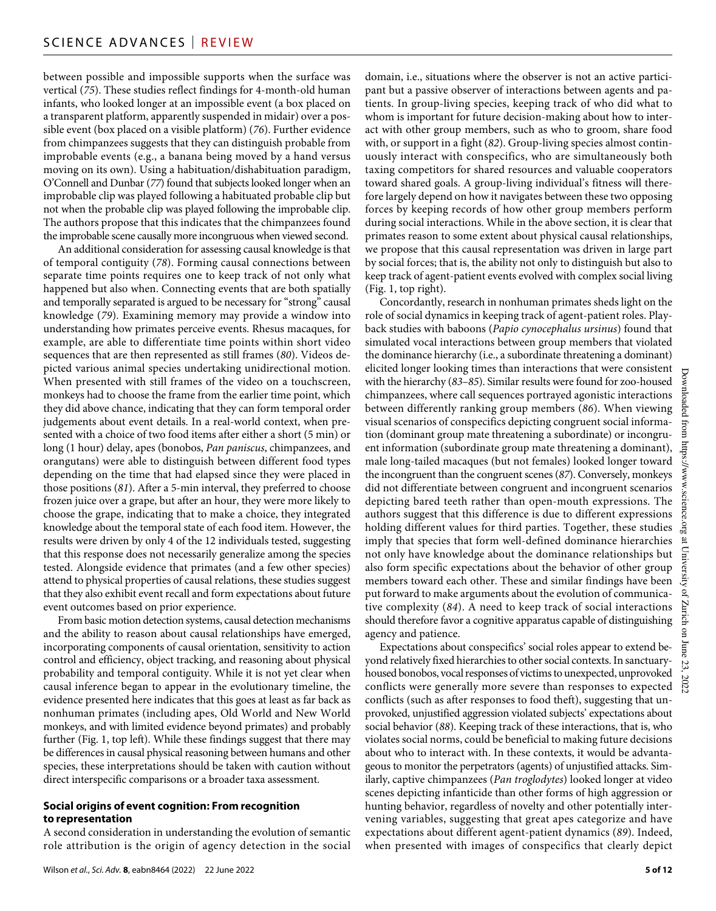between possible and impossible supports when the surface was vertical (*75*). These studies reflect findings for 4-month-old human infants, who looked longer at an impossible event (a box placed on a transparent platform, apparently suspended in midair) over a possible event (box placed on a visible platform) (*76*). Further evidence from chimpanzees suggests that they can distinguish probable from improbable events (e.g., a banana being moved by a hand versus moving on its own). Using a habituation/dishabituation paradigm, O'Connell and Dunbar (*77*) found that subjects looked longer when an improbable clip was played following a habituated probable clip but not when the probable clip was played following the improbable clip. The authors propose that this indicates that the chimpanzees found the improbable scene causally more incongruous when viewed second.

An additional consideration for assessing causal knowledge is that of temporal contiguity (*78*). Forming causal connections between separate time points requires one to keep track of not only what happened but also when. Connecting events that are both spatially and temporally separated is argued to be necessary for "strong" causal knowledge (*79*). Examining memory may provide a window into understanding how primates perceive events. Rhesus macaques, for example, are able to differentiate time points within short video sequences that are then represented as still frames (*80*). Videos depicted various animal species undertaking unidirectional motion. When presented with still frames of the video on a touchscreen, monkeys had to choose the frame from the earlier time point, which they did above chance, indicating that they can form temporal order judgements about event details. In a real-world context, when presented with a choice of two food items after either a short (5 min) or long (1 hour) delay, apes (bonobos, *Pan paniscus*, chimpanzees, and orangutans) were able to distinguish between different food types depending on the time that had elapsed since they were placed in those positions (*81*). After a 5-min interval, they preferred to choose frozen juice over a grape, but after an hour, they were more likely to choose the grape, indicating that to make a choice, they integrated knowledge about the temporal state of each food item. However, the results were driven by only 4 of the 12 individuals tested, suggesting that this response does not necessarily generalize among the species tested. Alongside evidence that primates (and a few other species) attend to physical properties of causal relations, these studies suggest that they also exhibit event recall and form expectations about future event outcomes based on prior experience.

From basic motion detection systems, causal detection mechanisms and the ability to reason about causal relationships have emerged, incorporating components of causal orientation, sensitivity to action control and efficiency, object tracking, and reasoning about physical probability and temporal contiguity. While it is not yet clear when causal inference began to appear in the evolutionary timeline, the evidence presented here indicates that this goes at least as far back as nonhuman primates (including apes, Old World and New World monkeys, and with limited evidence beyond primates) and probably further (Fig. 1, top left). While these findings suggest that there may be differences in causal physical reasoning between humans and other species, these interpretations should be taken with caution without direct interspecific comparisons or a broader taxa assessment.

#### **Social origins of event cognition: From recognition to representation**

A second consideration in understanding the evolution of semantic role attribution is the origin of agency detection in the social domain, i.e., situations where the observer is not an active participant but a passive observer of interactions between agents and patients. In group-living species, keeping track of who did what to whom is important for future decision-making about how to interact with other group members, such as who to groom, share food with, or support in a fight (*82*). Group-living species almost continuously interact with conspecifics, who are simultaneously both taxing competitors for shared resources and valuable cooperators toward shared goals. A group-living individual's fitness will therefore largely depend on how it navigates between these two opposing forces by keeping records of how other group members perform during social interactions. While in the above section, it is clear that primates reason to some extent about physical causal relationships, we propose that this causal representation was driven in large part by social forces; that is, the ability not only to distinguish but also to keep track of agent-patient events evolved with complex social living (Fig. 1, top right).

Concordantly, research in nonhuman primates sheds light on the role of social dynamics in keeping track of agent-patient roles. Playback studies with baboons (*Papio cynocephalus ursinus*) found that simulated vocal interactions between group members that violated the dominance hierarchy (i.e., a subordinate threatening a dominant) elicited longer looking times than interactions that were consistent with the hierarchy (*83*–*85*). Similar results were found for zoo-housed chimpanzees, where call sequences portrayed agonistic interactions between differently ranking group members (*86*). When viewing visual scenarios of conspecifics depicting congruent social information (dominant group mate threatening a subordinate) or incongruent information (subordinate group mate threatening a dominant), male long-tailed macaques (but not females) looked longer toward the incongruent than the congruent scenes (*87*). Conversely, monkeys did not differentiate between congruent and incongruent scenarios depicting bared teeth rather than open-mouth expressions. The authors suggest that this difference is due to different expressions holding different values for third parties. Together, these studies imply that species that form well-defined dominance hierarchies not only have knowledge about the dominance relationships but also form specific expectations about the behavior of other group members toward each other. These and similar findings have been put forward to make arguments about the evolution of communicative complexity (*84*). A need to keep track of social interactions should therefore favor a cognitive apparatus capable of distinguishing agency and patience.

Expectations about conspecifics' social roles appear to extend beyond relatively fixed hierarchies to other social contexts. In sanctuaryhoused bonobos, vocal responses of victims to unexpected, unprovoked conflicts were generally more severe than responses to expected conflicts (such as after responses to food theft), suggesting that unprovoked, unjustified aggression violated subjects' expectations about social behavior (*88*). Keeping track of these interactions, that is, who violates social norms, could be beneficial to making future decisions about who to interact with. In these contexts, it would be advantageous to monitor the perpetrators (agents) of unjustified attacks. Similarly, captive chimpanzees (*Pan troglodytes*) looked longer at video scenes depicting infanticide than other forms of high aggression or hunting behavior, regardless of novelty and other potentially intervening variables, suggesting that great apes categorize and have expectations about different agent-patient dynamics (*89*). Indeed, when presented with images of conspecifics that clearly depict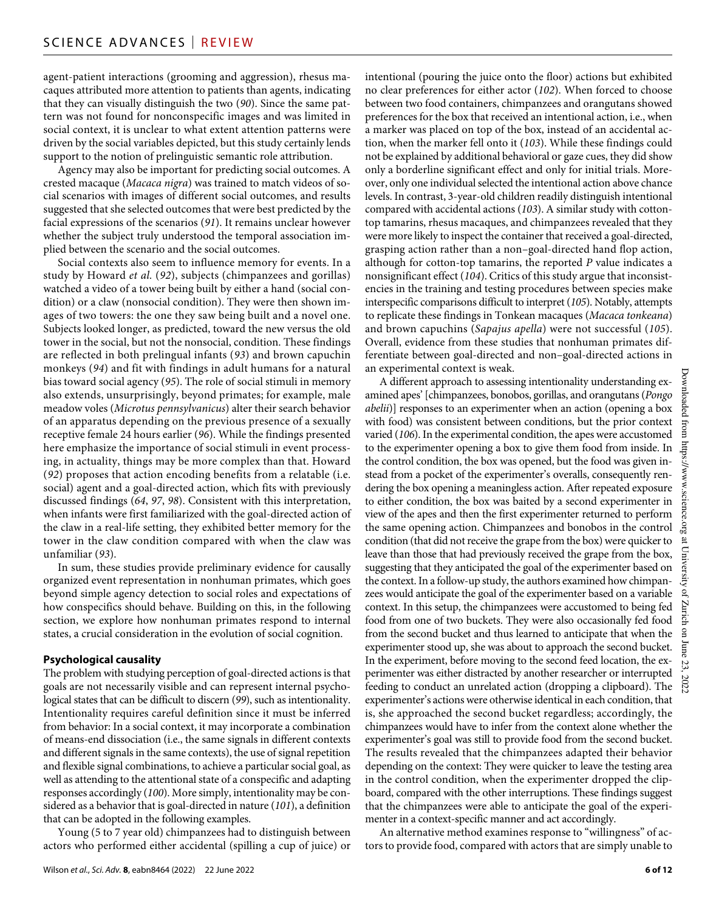agent-patient interactions (grooming and aggression), rhesus macaques attributed more attention to patients than agents, indicating that they can visually distinguish the two (*90*). Since the same pattern was not found for nonconspecific images and was limited in social context, it is unclear to what extent attention patterns were driven by the social variables depicted, but this study certainly lends support to the notion of prelinguistic semantic role attribution.

Agency may also be important for predicting social outcomes. A crested macaque (*Macaca nigra*) was trained to match videos of social scenarios with images of different social outcomes, and results suggested that she selected outcomes that were best predicted by the facial expressions of the scenarios (*91*). It remains unclear however whether the subject truly understood the temporal association implied between the scenario and the social outcomes.

Social contexts also seem to influence memory for events. In a study by Howard *et al.* (*92*), subjects (chimpanzees and gorillas) watched a video of a tower being built by either a hand (social condition) or a claw (nonsocial condition). They were then shown images of two towers: the one they saw being built and a novel one. Subjects looked longer, as predicted, toward the new versus the old tower in the social, but not the nonsocial, condition. These findings are reflected in both prelingual infants (*93*) and brown capuchin monkeys (*94*) and fit with findings in adult humans for a natural bias toward social agency (*95*). The role of social stimuli in memory also extends, unsurprisingly, beyond primates; for example, male meadow voles (*Microtus pennsylvanicus*) alter their search behavior of an apparatus depending on the previous presence of a sexually receptive female 24 hours earlier (*96*). While the findings presented here emphasize the importance of social stimuli in event processing, in actuality, things may be more complex than that. Howard (*92*) proposes that action encoding benefits from a relatable (i.e. social) agent and a goal-directed action, which fits with previously discussed findings (*64*, *97*, *98*). Consistent with this interpretation, when infants were first familiarized with the goal-directed action of the claw in a real-life setting, they exhibited better memory for the tower in the claw condition compared with when the claw was unfamiliar (*93*).

In sum, these studies provide preliminary evidence for causally organized event representation in nonhuman primates, which goes beyond simple agency detection to social roles and expectations of how conspecifics should behave. Building on this, in the following section, we explore how nonhuman primates respond to internal states, a crucial consideration in the evolution of social cognition.

#### **Psychological causality**

The problem with studying perception of goal-directed actions is that goals are not necessarily visible and can represent internal psychological states that can be difficult to discern (*99*), such as intentionality. Intentionality requires careful definition since it must be inferred from behavior: In a social context, it may incorporate a combination of means-end dissociation (i.e., the same signals in different contexts and different signals in the same contexts), the use of signal repetition and flexible signal combinations, to achieve a particular social goal, as well as attending to the attentional state of a conspecific and adapting responses accordingly (*100*). More simply, intentionality may be considered as a behavior that is goal-directed in nature (*101*), a definition that can be adopted in the following examples.

Young (5 to 7 year old) chimpanzees had to distinguish between actors who performed either accidental (spilling a cup of juice) or

Wilson *et al.*, *Sci. Adv.* **8**, eabn8464 (2022) 22 June 2022

intentional (pouring the juice onto the floor) actions but exhibited no clear preferences for either actor (*102*). When forced to choose between two food containers, chimpanzees and orangutans showed preferences for the box that received an intentional action, i.e., when a marker was placed on top of the box, instead of an accidental action, when the marker fell onto it (*103*). While these findings could not be explained by additional behavioral or gaze cues, they did show only a borderline significant effect and only for initial trials. Moreover, only one individual selected the intentional action above chance levels. In contrast, 3-year-old children readily distinguish intentional compared with accidental actions (*103*). A similar study with cottontop tamarins, rhesus macaques, and chimpanzees revealed that they were more likely to inspect the container that received a goal-directed, grasping action rather than a non–goal-directed hand flop action, although for cotton-top tamarins, the reported *P* value indicates a nonsignificant effect (*104*). Critics of this study argue that inconsistencies in the training and testing procedures between species make interspecific comparisons difficult to interpret (*105*). Notably, attempts to replicate these findings in Tonkean macaques (*Macaca tonkeana*) and brown capuchins (*Sapajus apella*) were not successful (*105*). Overall, evidence from these studies that nonhuman primates differentiate between goal-directed and non–goal-directed actions in an experimental context is weak.

A different approach to assessing intentionality understanding examined apes' [chimpanzees, bonobos, gorillas, and orangutans (*Pongo abelii*)] responses to an experimenter when an action (opening a box with food) was consistent between conditions, but the prior context varied (*106*). In the experimental condition, the apes were accustomed to the experimenter opening a box to give them food from inside. In the control condition, the box was opened, but the food was given instead from a pocket of the experimenter's overalls, consequently rendering the box opening a meaningless action. After repeated exposure to either condition, the box was baited by a second experimenter in view of the apes and then the first experimenter returned to perform the same opening action. Chimpanzees and bonobos in the control condition (that did not receive the grape from the box) were quicker to leave than those that had previously received the grape from the box, suggesting that they anticipated the goal of the experimenter based on the context. In a follow-up study, the authors examined how chimpanzees would anticipate the goal of the experimenter based on a variable context. In this setup, the chimpanzees were accustomed to being fed food from one of two buckets. They were also occasionally fed food from the second bucket and thus learned to anticipate that when the experimenter stood up, she was about to approach the second bucket. In the experiment, before moving to the second feed location, the experimenter was either distracted by another researcher or interrupted feeding to conduct an unrelated action (dropping a clipboard). The experimenter's actions were otherwise identical in each condition, that is, she approached the second bucket regardless; accordingly, the chimpanzees would have to infer from the context alone whether the experimenter's goal was still to provide food from the second bucket. The results revealed that the chimpanzees adapted their behavior depending on the context: They were quicker to leave the testing area in the control condition, when the experimenter dropped the clipboard, compared with the other interruptions. These findings suggest that the chimpanzees were able to anticipate the goal of the experimenter in a context-specific manner and act accordingly.

An alternative method examines response to "willingness" of actors to provide food, compared with actors that are simply unable to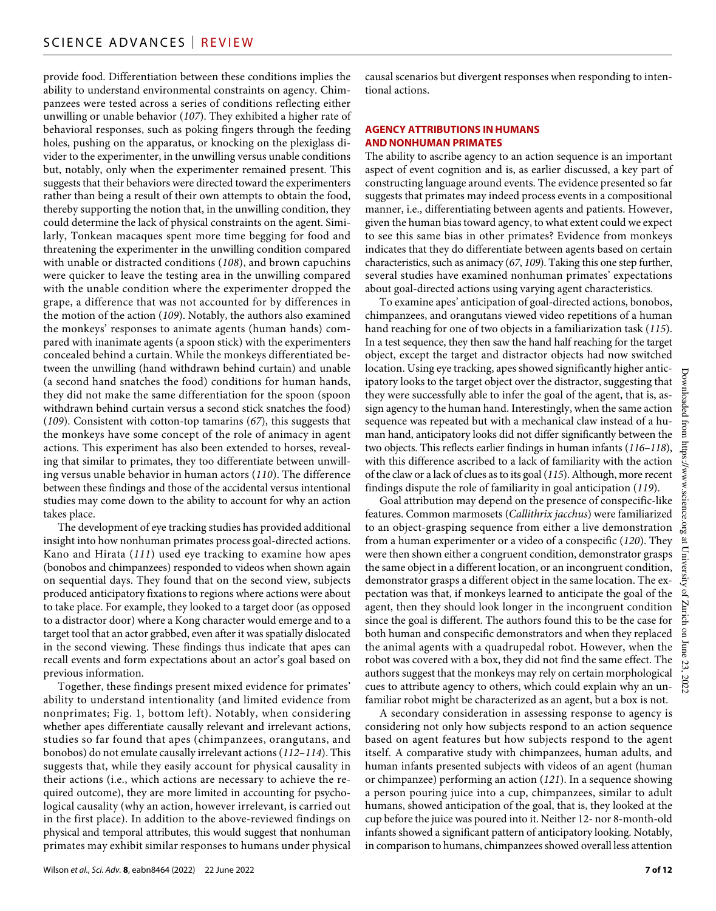provide food. Differentiation between these conditions implies the ability to understand environmental constraints on agency. Chimpanzees were tested across a series of conditions reflecting either unwilling or unable behavior (*107*). They exhibited a higher rate of behavioral responses, such as poking fingers through the feeding holes, pushing on the apparatus, or knocking on the plexiglass divider to the experimenter, in the unwilling versus unable conditions but, notably, only when the experimenter remained present. This suggests that their behaviors were directed toward the experimenters rather than being a result of their own attempts to obtain the food, thereby supporting the notion that, in the unwilling condition, they could determine the lack of physical constraints on the agent. Similarly, Tonkean macaques spent more time begging for food and threatening the experimenter in the unwilling condition compared with unable or distracted conditions (*108*), and brown capuchins were quicker to leave the testing area in the unwilling compared with the unable condition where the experimenter dropped the grape, a difference that was not accounted for by differences in the motion of the action (*109*). Notably, the authors also examined the monkeys' responses to animate agents (human hands) compared with inanimate agents (a spoon stick) with the experimenters concealed behind a curtain. While the monkeys differentiated between the unwilling (hand withdrawn behind curtain) and unable (a second hand snatches the food) conditions for human hands, they did not make the same differentiation for the spoon (spoon withdrawn behind curtain versus a second stick snatches the food) (*109*). Consistent with cotton-top tamarins (*67*), this suggests that the monkeys have some concept of the role of animacy in agent actions. This experiment has also been extended to horses, revealing that similar to primates, they too differentiate between unwilling versus unable behavior in human actors (*110*). The difference between these findings and those of the accidental versus intentional studies may come down to the ability to account for why an action takes place.

The development of eye tracking studies has provided additional insight into how nonhuman primates process goal-directed actions. Kano and Hirata (*111*) used eye tracking to examine how apes (bonobos and chimpanzees) responded to videos when shown again on sequential days. They found that on the second view, subjects produced anticipatory fixations to regions where actions were about to take place. For example, they looked to a target door (as opposed to a distractor door) where a Kong character would emerge and to a target tool that an actor grabbed, even after it was spatially dislocated in the second viewing. These findings thus indicate that apes can recall events and form expectations about an actor's goal based on previous information.

Together, these findings present mixed evidence for primates' ability to understand intentionality (and limited evidence from nonprimates; Fig. 1, bottom left). Notably, when considering whether apes differentiate causally relevant and irrelevant actions, studies so far found that apes (chimpanzees, orangutans, and bonobos) do not emulate causally irrelevant actions (*112*–*114*). This suggests that, while they easily account for physical causality in their actions (i.e., which actions are necessary to achieve the required outcome), they are more limited in accounting for psychological causality (why an action, however irrelevant, is carried out in the first place). In addition to the above-reviewed findings on physical and temporal attributes, this would suggest that nonhuman primates may exhibit similar responses to humans under physical

causal scenarios but divergent responses when responding to intentional actions.

#### **AGENCY ATTRIBUTIONS IN HUMANS AND NONHUMAN PRIMATES**

The ability to ascribe agency to an action sequence is an important aspect of event cognition and is, as earlier discussed, a key part of constructing language around events. The evidence presented so far suggests that primates may indeed process events in a compositional manner, i.e., differentiating between agents and patients. However, given the human bias toward agency, to what extent could we expect to see this same bias in other primates? Evidence from monkeys indicates that they do differentiate between agents based on certain characteristics, such as animacy (*67*, *109*). Taking this one step further, several studies have examined nonhuman primates' expectations about goal-directed actions using varying agent characteristics.

To examine apes' anticipation of goal-directed actions, bonobos, chimpanzees, and orangutans viewed video repetitions of a human hand reaching for one of two objects in a familiarization task (*115*). In a test sequence, they then saw the hand half reaching for the target object, except the target and distractor objects had now switched location. Using eye tracking, apes showed significantly higher anticipatory looks to the target object over the distractor, suggesting that they were successfully able to infer the goal of the agent, that is, assign agency to the human hand. Interestingly, when the same action sequence was repeated but with a mechanical claw instead of a human hand, anticipatory looks did not differ significantly between the two objects. This reflects earlier findings in human infants (*116*–*118*), with this difference ascribed to a lack of familiarity with the action of the claw or a lack of clues as to its goal (*115*). Although, more recent findings dispute the role of familiarity in goal anticipation (*119*).

Goal attribution may depend on the presence of conspecific-like features. Common marmosets (*Callithrix jacchus*) were familiarized to an object-grasping sequence from either a live demonstration  $\frac{5}{66}$ from a human experimenter or a video of a conspecific (*120*). They were then shown either a congruent condition, demonstrator grasps the same object in a different location, or an incongruent condition, demonstrator grasps a different object in the same location. The expectation was that, if monkeys learned to anticipate the goal of the agent, then they should look longer in the incongruent condition since the goal is different. The authors found this to be the case for both human and conspecific demonstrators and when they replaced the animal agents with a quadrupedal robot. However, when the robot was covered with a box, they did not find the same effect. The authors suggest that the monkeys may rely on certain morphological cues to attribute agency to others, which could explain why an unfamiliar robot might be characterized as an agent, but a box is not.

A secondary consideration in assessing response to agency is considering not only how subjects respond to an action sequence based on agent features but how subjects respond to the agent itself. A comparative study with chimpanzees, human adults, and human infants presented subjects with videos of an agent (human or chimpanzee) performing an action (*121*). In a sequence showing a person pouring juice into a cup, chimpanzees, similar to adult humans, showed anticipation of the goal, that is, they looked at the cup before the juice was poured into it. Neither 12- nor 8-month-old infants showed a significant pattern of anticipatory looking. Notably, in comparison to humans, chimpanzees showed overall less attention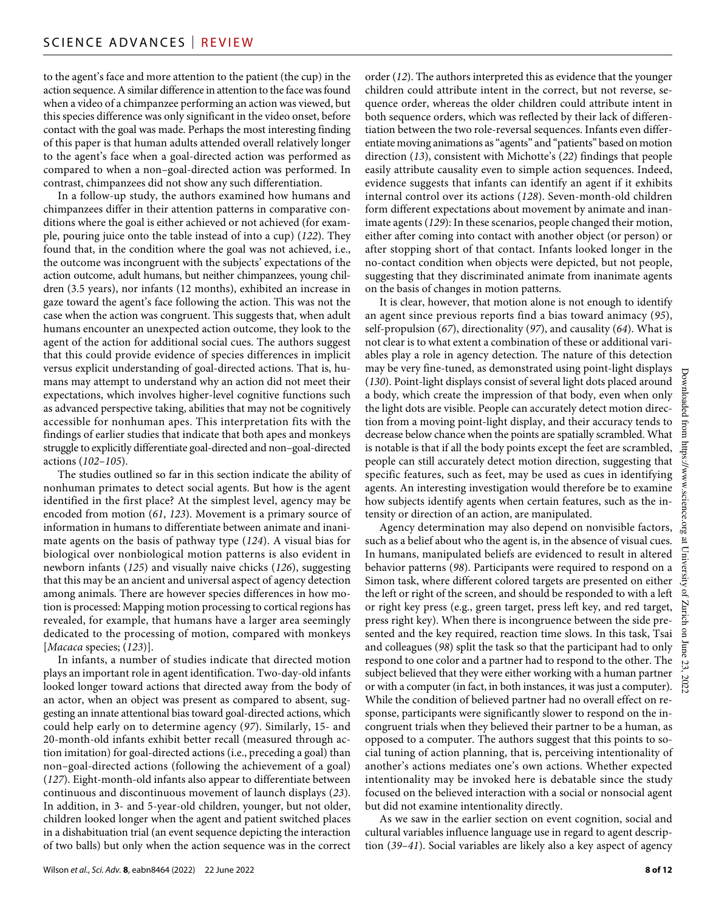to the agent's face and more attention to the patient (the cup) in the action sequence. A similar difference in attention to the face was found when a video of a chimpanzee performing an action was viewed, but this species difference was only significant in the video onset, before contact with the goal was made. Perhaps the most interesting finding of this paper is that human adults attended overall relatively longer to the agent's face when a goal-directed action was performed as compared to when a non–goal-directed action was performed. In contrast, chimpanzees did not show any such differentiation.

In a follow-up study, the authors examined how humans and chimpanzees differ in their attention patterns in comparative conditions where the goal is either achieved or not achieved (for example, pouring juice onto the table instead of into a cup) (*122*). They found that, in the condition where the goal was not achieved, i.e., the outcome was incongruent with the subjects' expectations of the action outcome, adult humans, but neither chimpanzees, young children (3.5 years), nor infants (12 months), exhibited an increase in gaze toward the agent's face following the action. This was not the case when the action was congruent. This suggests that, when adult humans encounter an unexpected action outcome, they look to the agent of the action for additional social cues. The authors suggest that this could provide evidence of species differences in implicit versus explicit understanding of goal-directed actions. That is, humans may attempt to understand why an action did not meet their expectations, which involves higher-level cognitive functions such as advanced perspective taking, abilities that may not be cognitively accessible for nonhuman apes. This interpretation fits with the findings of earlier studies that indicate that both apes and monkeys struggle to explicitly differentiate goal-directed and non–goal-directed actions (*102*–*105*).

The studies outlined so far in this section indicate the ability of nonhuman primates to detect social agents. But how is the agent identified in the first place? At the simplest level, agency may be encoded from motion (*61*, *123*). Movement is a primary source of information in humans to differentiate between animate and inanimate agents on the basis of pathway type (*124*). A visual bias for biological over nonbiological motion patterns is also evident in newborn infants (*125*) and visually naive chicks (*126*), suggesting that this may be an ancient and universal aspect of agency detection among animals. There are however species differences in how motion is processed: Mapping motion processing to cortical regions has revealed, for example, that humans have a larger area seemingly dedicated to the processing of motion, compared with monkeys [*Macaca* species; (*123*)].

In infants, a number of studies indicate that directed motion plays an important role in agent identification. Two-day-old infants looked longer toward actions that directed away from the body of an actor, when an object was present as compared to absent, suggesting an innate attentional bias toward goal-directed actions, which could help early on to determine agency (*97*). Similarly, 15- and 20-month-old infants exhibit better recall (measured through action imitation) for goal-directed actions (i.e., preceding a goal) than non–goal-directed actions (following the achievement of a goal) (*127*). Eight-month-old infants also appear to differentiate between continuous and discontinuous movement of launch displays (*23*). In addition, in 3- and 5-year-old children, younger, but not older, children looked longer when the agent and patient switched places in a dishabituation trial (an event sequence depicting the interaction of two balls) but only when the action sequence was in the correct

order (*12*). The authors interpreted this as evidence that the younger children could attribute intent in the correct, but not reverse, sequence order, whereas the older children could attribute intent in both sequence orders, which was reflected by their lack of differentiation between the two role-reversal sequences. Infants even differentiate moving animations as "agents" and "patients" based on motion direction (*13*), consistent with Michotte's (*22*) findings that people easily attribute causality even to simple action sequences. Indeed, evidence suggests that infants can identify an agent if it exhibits internal control over its actions (*128*). Seven-month-old children form different expectations about movement by animate and inanimate agents (*129*): In these scenarios, people changed their motion, either after coming into contact with another object (or person) or after stopping short of that contact. Infants looked longer in the no-contact condition when objects were depicted, but not people, suggesting that they discriminated animate from inanimate agents on the basis of changes in motion patterns.

It is clear, however, that motion alone is not enough to identify an agent since previous reports find a bias toward animacy (*95*), self-propulsion (*67*), directionality (*97*), and causality (*64*). What is not clear is to what extent a combination of these or additional variables play a role in agency detection. The nature of this detection may be very fine-tuned, as demonstrated using point-light displays (*130*). Point-light displays consist of several light dots placed around a body, which create the impression of that body, even when only the light dots are visible. People can accurately detect motion direction from a moving point-light display, and their accuracy tends to decrease below chance when the points are spatially scrambled. What is notable is that if all the body points except the feet are scrambled, people can still accurately detect motion direction, suggesting that specific features, such as feet, may be used as cues in identifying agents. An interesting investigation would therefore be to examine how subjects identify agents when certain features, such as the intensity or direction of an action, are manipulated.

Agency determination may also depend on nonvisible factors, such as a belief about who the agent is, in the absence of visual cues. In humans, manipulated beliefs are evidenced to result in altered behavior patterns (*98*). Participants were required to respond on a Simon task, where different colored targets are presented on either the left or right of the screen, and should be responded to with a left or right key press (e.g., green target, press left key, and red target, press right key). When there is incongruence between the side presented and the key required, reaction time slows. In this task, Tsai and colleagues (*98*) split the task so that the participant had to only respond to one color and a partner had to respond to the other. The subject believed that they were either working with a human partner or with a computer (in fact, in both instances, it was just a computer). While the condition of believed partner had no overall effect on response, participants were significantly slower to respond on the incongruent trials when they believed their partner to be a human, as opposed to a computer. The authors suggest that this points to social tuning of action planning, that is, perceiving intentionality of another's actions mediates one's own actions. Whether expected intentionality may be invoked here is debatable since the study focused on the believed interaction with a social or nonsocial agent but did not examine intentionality directly.

As we saw in the earlier section on event cognition, social and cultural variables influence language use in regard to agent description (*39*–*41*). Social variables are likely also a key aspect of agency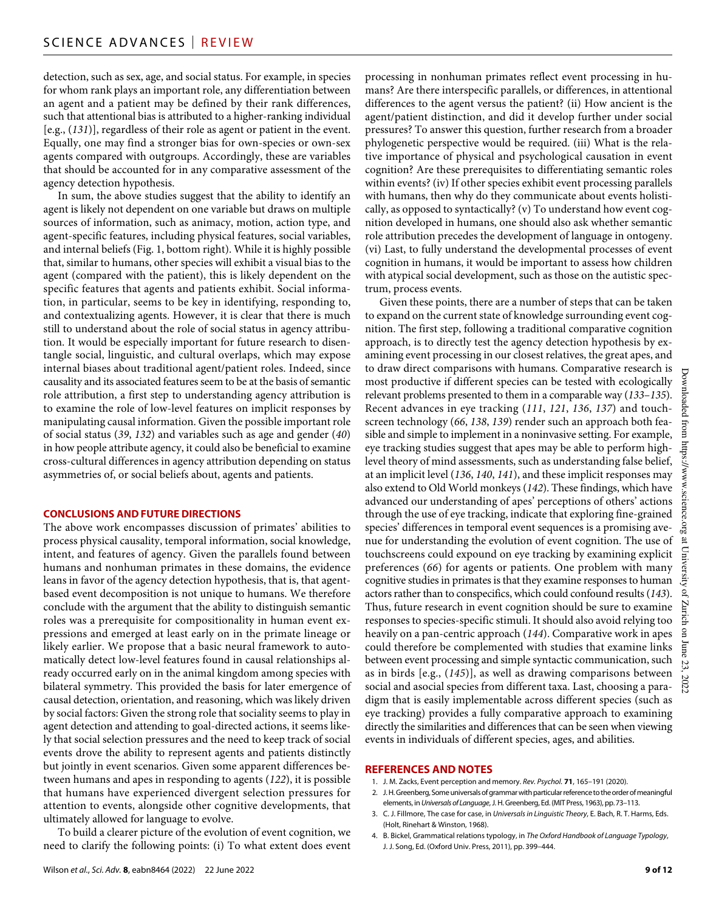detection, such as sex, age, and social status. For example, in species for whom rank plays an important role, any differentiation between an agent and a patient may be defined by their rank differences, such that attentional bias is attributed to a higher-ranking individual [e.g., (*131*)], regardless of their role as agent or patient in the event. Equally, one may find a stronger bias for own-species or own-sex agents compared with outgroups. Accordingly, these are variables that should be accounted for in any comparative assessment of the agency detection hypothesis.

In sum, the above studies suggest that the ability to identify an agent is likely not dependent on one variable but draws on multiple sources of information, such as animacy, motion, action type, and agent-specific features, including physical features, social variables, and internal beliefs (Fig. 1, bottom right). While it is highly possible that, similar to humans, other species will exhibit a visual bias to the agent (compared with the patient), this is likely dependent on the specific features that agents and patients exhibit. Social information, in particular, seems to be key in identifying, responding to, and contextualizing agents. However, it is clear that there is much still to understand about the role of social status in agency attribution. It would be especially important for future research to disentangle social, linguistic, and cultural overlaps, which may expose internal biases about traditional agent/patient roles. Indeed, since causality and its associated features seem to be at the basis of semantic role attribution, a first step to understanding agency attribution is to examine the role of low-level features on implicit responses by manipulating causal information. Given the possible important role of social status (*39*, *132*) and variables such as age and gender (*40*) in how people attribute agency, it could also be beneficial to examine cross-cultural differences in agency attribution depending on status asymmetries of, or social beliefs about, agents and patients.

#### **CONCLUSIONS AND FUTURE DIRECTIONS**

The above work encompasses discussion of primates' abilities to process physical causality, temporal information, social knowledge, intent, and features of agency. Given the parallels found between humans and nonhuman primates in these domains, the evidence leans in favor of the agency detection hypothesis, that is, that agentbased event decomposition is not unique to humans. We therefore conclude with the argument that the ability to distinguish semantic roles was a prerequisite for compositionality in human event expressions and emerged at least early on in the primate lineage or likely earlier. We propose that a basic neural framework to automatically detect low-level features found in causal relationships already occurred early on in the animal kingdom among species with bilateral symmetry. This provided the basis for later emergence of causal detection, orientation, and reasoning, which was likely driven by social factors: Given the strong role that sociality seems to play in agent detection and attending to goal-directed actions, it seems likely that social selection pressures and the need to keep track of social events drove the ability to represent agents and patients distinctly but jointly in event scenarios. Given some apparent differences between humans and apes in responding to agents (*122*), it is possible that humans have experienced divergent selection pressures for attention to events, alongside other cognitive developments, that ultimately allowed for language to evolve.

To build a clearer picture of the evolution of event cognition, we need to clarify the following points: (i) To what extent does event processing in nonhuman primates reflect event processing in humans? Are there interspecific parallels, or differences, in attentional differences to the agent versus the patient? (ii) How ancient is the agent/patient distinction, and did it develop further under social pressures? To answer this question, further research from a broader phylogenetic perspective would be required. (iii) What is the relative importance of physical and psychological causation in event cognition? Are these prerequisites to differentiating semantic roles within events? (iv) If other species exhibit event processing parallels with humans, then why do they communicate about events holistically, as opposed to syntactically? (v) To understand how event cognition developed in humans, one should also ask whether semantic role attribution precedes the development of language in ontogeny. (vi) Last, to fully understand the developmental processes of event cognition in humans, it would be important to assess how children with atypical social development, such as those on the autistic spectrum, process events.

Given these points, there are a number of steps that can be taken to expand on the current state of knowledge surrounding event cognition. The first step, following a traditional comparative cognition approach, is to directly test the agency detection hypothesis by examining event processing in our closest relatives, the great apes, and to draw direct comparisons with humans. Comparative research is Downloaded most productive if different species can be tested with ecologically relevant problems presented to them in a comparable way (*133*–*135*). Recent advances in eye tracking (*111*, *121*, *136*, *137*) and touchscreen technology (*66*, *138*, *139*) render such an approach both feafrom https://www.science. sible and simple to implement in a noninvasive setting. For example, eye tracking studies suggest that apes may be able to perform highlevel theory of mind assessments, such as understanding false belief, at an implicit level (*136*, *140*, *141*), and these implicit responses may also extend to Old World monkeys (*142*). These findings, which have advanced our understanding of apes' perceptions of others' actions through the use of eye tracking, indicate that exploring fine-grained ог species' differences in temporal event sequences is a promising avenue for understanding the evolution of event cognition. The use of  $\mathop{\mathrm{m}}$ touchscreens could expound on eye tracking by examining explicit University preferences (*66*) for agents or patients. One problem with many cognitive studies in primates is that they examine responses to human actors rather than to conspecifics, which could confound results (*143*). Thus, future research in event cognition should be sure to examine responses to species-specific stimuli. It should also avoid relying too on June 23. heavily on a pan-centric approach (*144*). Comparative work in apes could therefore be complemented with studies that examine links between event processing and simple syntactic communication, such as in birds [e.g., (*145*)], as well as drawing comparisons between social and asocial species from different taxa. Last, choosing a paradigm that is easily implementable across different species (such as eye tracking) provides a fully comparative approach to examining directly the similarities and differences that can be seen when viewing events in individuals of different species, ages, and abilities.

#### **REFERENCES AND NOTES**

- 1. J. M. Zacks, Event perception and memory. *Rev. Psychol.* **71**, 165–191 (2020).
- 2. J. H. Greenberg, Some universals of grammar with particular reference to the order of meaningful elements, in *Universals of Language*, J. H. Greenberg, Ed. (MIT Press, 1963), pp. 73–113.
- 3. C. J. Fillmore, The case for case, in *Universals in Linguistic Theory*, E. Bach, R. T. Harms, Eds. (Holt, Rinehart & Winston, 1968).
- 4. B. Bickel, Grammatical relations typology, in *The Oxford Handbook of Language Typology*, J. J. Song, Ed. (Oxford Univ. Press, 2011), pp. 399–444.

Downloaded from https://www.science.org at University of Zurich on June 23, 2022

 $\Omega$ Zurich

2022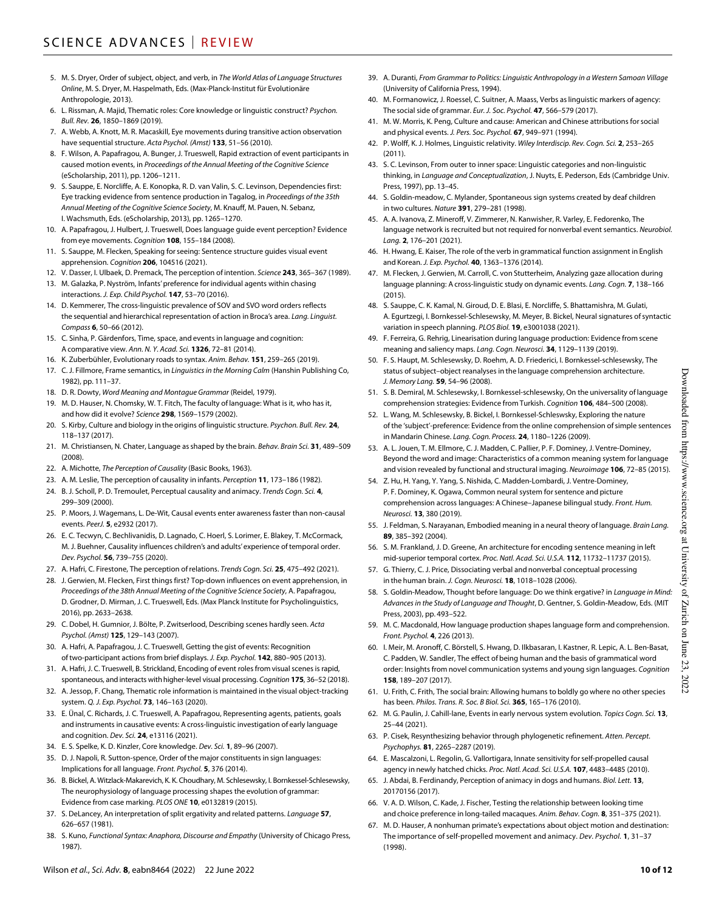- 5. M. S. Dryer, Order of subject, object, and verb, in *The World Atlas of Language Structures Online*, M. S. Dryer, M. Haspelmath, Eds. (Max-Planck-Institut für Evolutionäre Anthropologie, 2013).
- 6. L. Rissman, A. Majid, Thematic roles: Core knowledge or linguistic construct? *Psychon. Bull. Rev.* **26**, 1850–1869 (2019).
- 7. A. Webb, A. Knott, M. R. Macaskill, Eye movements during transitive action observation have sequential structure. *Acta Psychol. (Amst)* **133**, 51–56 (2010).
- 8. F. Wilson, A. Papafragou, A. Bunger, J. Trueswell, Rapid extraction of event participants in caused motion events, in *Proceedings of the Annual Meeting of the Cognitive Science* (eScholarship, 2011), pp. 1206–1211.
- 9. S. Sauppe, E. Norcliffe, A. E. Konopka, R. D. van Valin, S. C. Levinson, Dependencies first: Eye tracking evidence from sentence production in Tagalog, in *Proceedings of the 35th Annual Meeting of the Cognitive Science Society*, M. Knauff, M. Pauen, N. Sebanz, I. Wachsmuth, Eds. (eScholarship, 2013), pp. 1265–1270.
- 10. A. Papafragou, J. Hulbert, J. Trueswell, Does language guide event perception? Evidence from eye movements. *Cognition* **108**, 155–184 (2008).
- 11. S. Sauppe, M. Flecken, Speaking for seeing: Sentence structure guides visual event apprehension. *Cognition* **206**, 104516 (2021).
- 12. V. Dasser, I. Ulbaek, D. Premack, The perception of intention. *Science* **243**, 365–367 (1989).
- 13. M. Galazka, P. Nyström, Infants' preference for individual agents within chasing interactions. *J. Exp. Child Psychol.* **147**, 53–70 (2016).
- 14. D. Kemmerer, The cross-linguistic prevalence of SOV and SVO word orders reflects the sequential and hierarchical representation of action in Broca's area. *Lang. Linguist. Compass* **6**, 50–66 (2012).
- 15. C. Sinha, P. Gärdenfors, Time, space, and events in language and cognition: A comparative view. *Ann. N. Y. Acad. Sci.* **1326**, 72–81 (2014).
- 16. K. Zuberbühler, Evolutionary roads to syntax. *Anim. Behav.* **151**, 259–265 (2019).
- 17. C. J. Fillmore, Frame semantics, in *Linguistics in the Morning Calm* (Hanshin Publishing Co, 1982), pp. 111–37.
- 18. D. R. Dowty, *Word Meaning and Montague Grammar* (Reidel, 1979).
- 19. M. D. Hauser, N. Chomsky, W. T. Fitch, The faculty of language: What is it, who has it, and how did it evolve? *Science* **298**, 1569–1579 (2002).
- 20. S. Kirby, Culture and biology in the origins of linguistic structure. *Psychon. Bull. Rev.* **24**, 118–137 (2017).
- 21. M. Christiansen, N. Chater, Language as shaped by the brain. *Behav. Brain Sci.* **31**, 489–509 (2008).
- 22. A. Michotte, *The Perception of Causality* (Basic Books, 1963).
- 23. A. M. Leslie, The perception of causality in infants. *Perception* **11**, 173–186 (1982).
- 24. B. J. Scholl, P. D. Tremoulet, Perceptual causality and animacy. *Trends Cogn. Sci.* **4**, 299–309 (2000).
- 25. P. Moors, J. Wagemans, L. De-Wit, Causal events enter awareness faster than non-causal events. *PeerJ.* **5**, e2932 (2017).
- 26. E. C. Tecwyn, C. Bechlivanidis, D. Lagnado, C. Hoerl, S. Lorimer, E. Blakey, T. McCormack, M. J. Buehner, Causality influences children's and adults' experience of temporal order. *Dev. Psychol.* **56**, 739–755 (2020).
- 27. A. Hafri, C. Firestone, The perception of relations. *Trends Cogn. Sci.* **25**, 475–492 (2021).
- 28. J. Gerwien, M. Flecken, First things first? Top-down influences on event apprehension, in *Proceedings of the 38th Annual Meeting of the Cognitive Science Society*, A. Papafragou, D. Grodner, D. Mirman, J. C. Trueswell, Eds. (Max Planck Institute for Psycholinguistics, 2016), pp. 2633–2638.
- 29. C. Dobel, H. Gumnior, J. Bölte, P. Zwitserlood, Describing scenes hardly seen. *Acta Psychol. (Amst)* **125**, 129–143 (2007).
- 30. A. Hafri, A. Papafragou, J. C. Trueswell, Getting the gist of events: Recognition of two-participant actions from brief displays. *J. Exp. Psychol.* **142**, 880–905 (2013).
- 31. A. Hafri, J. C. Trueswell, B. Strickland, Encoding of event roles from visual scenes is rapid, spontaneous, and interacts with higher-level visual processing. *Cognition* **175**, 36–52 (2018).
- 32. A. Jessop, F. Chang, Thematic role information is maintained in the visual object-tracking system. *Q. J. Exp. Psychol.* **73**, 146–163 (2020).
- 33. E. Ünal, C. Richards, J. C. Trueswell, A. Papafragou, Representing agents, patients, goals and instruments in causative events: A cross-linguistic investigation of early language and cognition. *Dev. Sci.* **24**, e13116 (2021).
- 34. E. S. Spelke, K. D. Kinzler, Core knowledge. *Dev. Sci.* **1**, 89–96 (2007).
- 35. D. J. Napoli, R. Sutton-spence, Order of the major constituents in sign languages: Implications for all language. *Front. Psychol.* **5**, 376 (2014).
- 36. B. Bickel, A. Witzlack-Makarevich, K. K. Choudhary, M. Schlesewsky, I. Bornkessel-Schlesewsky, The neurophysiology of language processing shapes the evolution of grammar: Evidence from case marking. *PLOS ONE* **10**, e0132819 (2015).
- 37. S. DeLancey, An interpretation of split ergativity and related patterns. *Language* **57**, 626–657 (1981).
- 38. S. Kuno, *Functional Syntax: Anaphora, Discourse and Empathy* (University of Chicago Press, 1987).
- 39. A. Duranti, *From Grammar to Politics: Linguistic Anthropology in a Western Samoan Village* (University of California Press, 1994).
- 40. M. Formanowicz, J. Roessel, C. Suitner, A. Maass, Verbs as linguistic markers of agency: The social side of grammar. *Eur. J. Soc. Psychol.* **47**, 566–579 (2017).
- 41. M. W. Morris, K. Peng, Culture and cause: American and Chinese attributions for social and physical events. *J. Pers. Soc. Psychol.* **67**, 949–971 (1994).
- 42. P. Wolff, K. J. Holmes, Linguistic relativity. *Wiley Interdiscip. Rev. Cogn. Sci.* **2**, 253–265 (2011).
- 43. S. C. Levinson, From outer to inner space: Linguistic categories and non-linguistic thinking, in *Language and Conceptualization*, J. Nuyts, E. Pederson, Eds (Cambridge Univ. Press, 1997), pp. 13–45.
- 44. S. Goldin-meadow, C. Mylander, Spontaneous sign systems created by deaf children in two cultures. *Nature* **391**, 279–281 (1998).
- 45. A. A. Ivanova, Z. Mineroff, V. Zimmerer, N. Kanwisher, R. Varley, E. Fedorenko, The language network is recruited but not required for nonverbal event semantics. *Neurobiol. Lang.* **2**, 176–201 (2021).
- 46. H. Hwang, E. Kaiser, The role of the verb in grammatical function assignment in English and Korean. *J. Exp. Psychol.* **40**, 1363–1376 (2014).
- 47. M. Flecken, J. Gerwien, M. Carroll, C. von Stutterheim, Analyzing gaze allocation during language planning: A cross-linguistic study on dynamic events. *Lang. Cogn.* **7**, 138–166 (2015).
- 48. S. Sauppe, C. K. Kamal, N. Giroud, D. E. Blasi, E. Norcliffe, S. Bhattamishra, M. Gulati, A. Egurtzegi, I. Bornkessel-Schlesewsky, M. Meyer, B. Bickel, Neural signatures of syntactic variation in speech planning. *PLOS Biol.* **19**, e3001038 (2021).
- 49. F. Ferreira, G. Rehrig, Linearisation during language production: Evidence from scene meaning and saliency maps. *Lang. Cogn. Neurosci.* **34**, 1129–1139 (2019).
- 50. F. S. Haupt, M. Schlesewsky, D. Roehm, A. D. Friederici, I. Bornkessel-schlesewsky, The status of subject–object reanalyses in the language comprehension architecture. *J. Memory Lang.* **59**, 54–96 (2008).
- 51. S. B. Demiral, M. Schlesewsky, I. Bornkessel-schlesewsky, On the universality of language comprehension strategies: Evidence from Turkish. *Cognition* **106**, 484–500 (2008).
- 52. L. Wang, M. Schlesewsky, B. Bickel, I. Bornkessel-Schleswsky, Exploring the nature of the 'subject'-preference: Evidence from the online comprehension of simple sentences in Mandarin Chinese. *Lang. Cogn. Process.* **24**, 1180–1226 (2009).
- 53. A. L. Jouen, T. M. Ellmore, C. J. Madden, C. Pallier, P. F. Dominey, J. Ventre-Dominey, Beyond the word and image: Characteristics of a common meaning system for language and vision revealed by functional and structural imaging. *Neuroimage* **106**, 72–85 (2015).
- 54. Z. Hu, H. Yang, Y. Yang, S. Nishida, C. Madden-Lombardi, J. Ventre-Dominey, P. F. Dominey, K. Ogawa, Common neural system for sentence and picture comprehension across languages: A Chinese–Japanese bilingual study. *Front. Hum. Neurosci.* **13**, 380 (2019).
- 55. J. Feldman, S. Narayanan, Embodied meaning in a neural theory of language. *Brain Lang.* **89**, 385–392 (2004).
- 56. S. M. Frankland, J. D. Greene, An architecture for encoding sentence meaning in left mid-superior temporal cortex. *Proc. Natl. Acad. Sci. U.S.A.* **112**, 11732–11737 (2015).
- 57. G. Thierry, C. J. Price, Dissociating verbal and nonverbal conceptual processing in the human brain. *J. Cogn. Neurosci.* **18**, 1018–1028 (2006).
- 58. S. Goldin-Meadow, Thought before language: Do we think ergative? in *Language in Mind: Advances in the Study of Language and Thought*, D. Gentner, S. Goldin-Meadow, Eds. (MIT Press, 2003), pp. 493–522.
- M. C. Macdonald, How language production shapes language form and comprehension. *Front. Psychol.* **4**, 226 (2013).
- 60. I. Meir, M. Aronoff, C. Börstell, S. Hwang, D. Ilkbasaran, I. Kastner, R. Lepic, A. L. Ben-Basat, C. Padden, W. Sandler, The effect of being human and the basis of grammatical word order: Insights from novel communication systems and young sign languages. *Cognition* **158**, 189–207 (2017).
- 61. U. Frith, C. Frith, The social brain: Allowing humans to boldly go where no other species has been. *Philos. Trans. R. Soc. B Biol. Sci.* **365**, 165–176 (2010).
- 62. M. G. Paulin, J. Cahill-lane, Events in early nervous system evolution. *Topics Cogn. Sci.* **13**, 25–44 (2021).
- 63. P. Cisek, Resynthesizing behavior through phylogenetic refinement. *Atten. Percept. Psychophys.* **81**, 2265–2287 (2019).
- 64. E. Mascalzoni, L. Regolin, G. Vallortigara, Innate sensitivity for self-propelled causal agency in newly hatched chicks. *Proc. Natl. Acad. Sci. U.S.A.* **107**, 4483–4485 (2010).
- 65. J. Abdai, B. Ferdinandy, Perception of animacy in dogs and humans. *Biol. Lett.* **13**, 20170156 (2017).
- 66. V. A. D. Wilson, C. Kade, J. Fischer, Testing the relationship between looking time and choice preference in long-tailed macaques. *Anim. Behav. Cogn.* **8**, 351–375 (2021).
- 67. M. D. Hauser, A nonhuman primate's expectations about object motion and destination: The importance of self-propelled movement and animacy. *Dev. Psychol.* **1**, 31–37 (1998).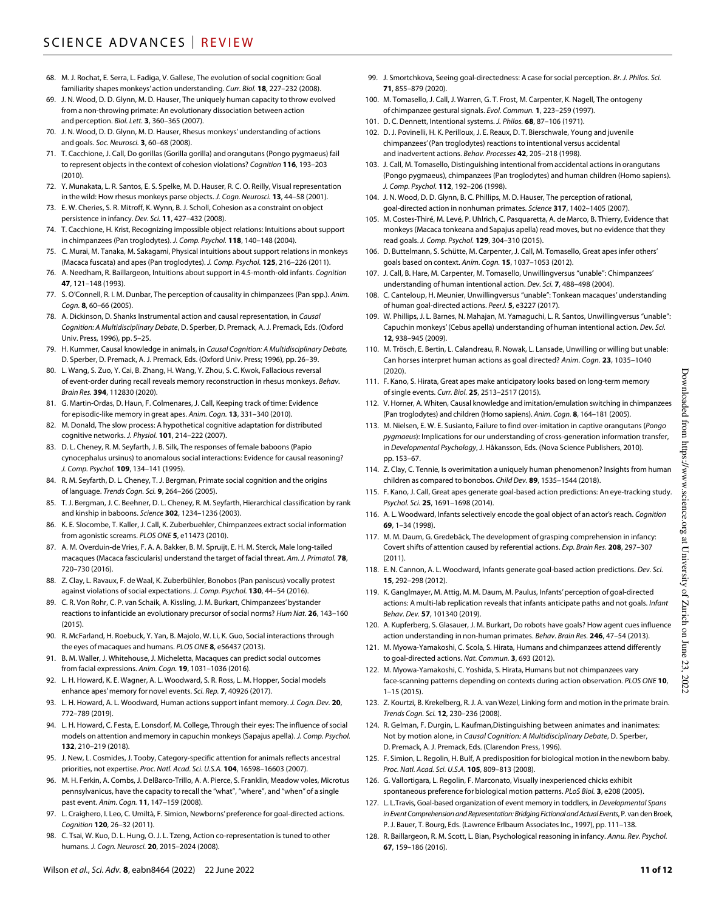- 68. M. J. Rochat, E. Serra, L. Fadiga, V. Gallese, The evolution of social cognition: Goal familiarity shapes monkeys' action understanding. *Curr. Biol.* **18**, 227–232 (2008).
- 69. J. N. Wood, D. D. Glynn, M. D. Hauser, The uniquely human capacity to throw evolved from a non-throwing primate: An evolutionary dissociation between action and perception. *Biol. Lett.* **3**, 360–365 (2007).
- 70. J. N. Wood, D. D. Glynn, M. D. Hauser, Rhesus monkeys' understanding of actions and goals. *Soc. Neurosci.* **3**, 60–68 (2008).
- 71. T. Cacchione, J. Call, Do gorillas (Gorilla gorilla) and orangutans (Pongo pygmaeus) fail to represent objects in the context of cohesion violations? *Cognition* **116**, 193–203 (2010).
- 72. Y. Munakata, L. R. Santos, E. S. Spelke, M. D. Hauser, R. C. O. Reilly, Visual representation in the wild: How rhesus monkeys parse objects. *J. Cogn. Neurosci.* **13**, 44–58 (2001).
- 73. E. W. Cheries, S. R. Mitroff, K. Wynn, B. J. Scholl, Cohesion as a constraint on object persistence in infancy. *Dev. Sci.* **11**, 427–432 (2008).
- 74. T. Cacchione, H. Krist, Recognizing impossible object relations: Intuitions about support in chimpanzees (Pan troglodytes). *J. Comp. Psychol.* **118**, 140–148 (2004).
- 75. C. Murai, M. Tanaka, M. Sakagami, Physical intuitions about support relations in monkeys (Macaca fuscata) and apes (Pan troglodytes). *J. Comp. Psychol.* **125**, 216–226 (2011).
- 76. A. Needham, R. Baillargeon, Intuitions about support in 4.5-month-old infants. *Cognition* **47**, 121–148 (1993).
- 77. S. O'Connell, R. I. M. Dunbar, The perception of causality in chimpanzees (Pan spp.). *Anim. Cogn.* **8**, 60–66 (2005).
- 78. A. Dickinson, D. Shanks Instrumental action and causal representation, in *Causal Cognition: A Multidisciplinary Debate*, D. Sperber, D. Premack, A. J. Premack, Eds. (Oxford Univ. Press, 1996), pp. 5–25.
- 79. H. Kummer, Causal knowledge in animals, in *Causal Cognition: A Multidisciplinary Debate,* D. Sperber, D. Premack, A. J. Premack, Eds. (Oxford Univ. Press; 1996), pp. 26–39.
- 80. L. Wang, S. Zuo, Y. Cai, B. Zhang, H. Wang, Y. Zhou, S. C. Kwok, Fallacious reversal of event-order during recall reveals memory reconstruction in rhesus monkeys. *Behav. Brain Res.* **394**, 112830 (2020).
- 81. G. Martin-Ordas, D. Haun, F. Colmenares, J. Call, Keeping track of time: Evidence for episodic-like memory in great apes. *Anim. Cogn.* **13**, 331–340 (2010).
- 82. M. Donald, The slow process: A hypothetical cognitive adaptation for distributed cognitive networks. *J. Physiol.* **101**, 214–222 (2007).
- 83. D. L. Cheney, R. M. Seyfarth, J. B. Silk, The responses of female baboons (Papio cynocephalus ursinus) to anomalous social interactions: Evidence for causal reasoning? *J. Comp. Psychol.* **109**, 134–141 (1995).
- 84. R. M. Seyfarth, D. L. Cheney, T. J. Bergman, Primate social cognition and the origins of language. *Trends Cogn. Sci.* **9**, 264–266 (2005).
- 85. T. J. Bergman, J. C. Beehner, D. L. Cheney, R. M. Seyfarth, Hierarchical classification by rank and kinship in baboons. *Science* **302**, 1234–1236 (2003).
- 86. K. E. Slocombe, T. Kaller, J. Call, K. Zuberbuehler, Chimpanzees extract social information from agonistic screams. *PLOS ONE* **5**, e11473 (2010).
- 87. A. M. Overduin-de Vries, F. A. A. Bakker, B. M. Spruijt, E. H. M. Sterck, Male long-tailed macaques (Macaca fascicularis) understand the target of facial threat. *Am. J. Primatol.* **78**, 720–730 (2016).
- 88. Z. Clay, L. Ravaux, F. de Waal, K. Zuberbühler, Bonobos (Pan paniscus) vocally protest against violations of social expectations. *J. Comp. Psychol.* **130**, 44–54 (2016).
- 89. C. R. Von Rohr, C. P. van Schaik, A. Kissling, J. M. Burkart, Chimpanzees' bystander reactions to infanticide an evolutionary precursor of social norms? *Hum Nat.* **26**, 143–160  $(2015)$
- 90. R. McFarland, H. Roebuck, Y. Yan, B. Majolo, W. Li, K. Guo, Social interactions through the eyes of macaques and humans. *PLOS ONE* **8**, e56437 (2013).
- 91. B. M. Waller, J. Whitehouse, J. Micheletta, Macaques can predict social outcomes from facial expressions. *Anim. Cogn.* **19**, 1031–1036 (2016).
- 92. L. H. Howard, K. E. Wagner, A. L. Woodward, S. R. Ross, L. M. Hopper, Social models enhance apes' memory for novel events. *Sci. Rep.* **7**, 40926 (2017).
- 93. L. H. Howard, A. L. Woodward, Human actions support infant memory. *J. Cogn. Dev.* **20**, 772–789 (2019).
- 94. L. H. Howard, C. Festa, E. Lonsdorf, M. College, Through their eyes: The influence of social models on attention and memory in capuchin monkeys (Sapajus apella). *J. Comp. Psychol.* **132**, 210–219 (2018).
- 95. J. New, L. Cosmides, J. Tooby, Category-specific attention for animals reflects ancestral priorities, not expertise. *Proc. Natl. Acad. Sci. U.S.A.* **104**, 16598–16603 (2007).
- 96. M. H. Ferkin, A. Combs, J. DelBarco-Trillo, A. A. Pierce, S. Franklin, Meadow voles, Microtus pennsylvanicus, have the capacity to recall the "what", "where", and "when" of a single past event. *Anim. Cogn.* **11**, 147–159 (2008).
- 97. L. Craighero, I. Leo, C. Umiltà, F. Simion, Newborns' preference for goal-directed actions. *Cognition* **120**, 26–32 (2011).
- 98. C. Tsai, W. Kuo, D. L. Hung, O. J. L. Tzeng, Action co-representation is tuned to other humans. *J. Cogn. Neurosci.* **20**, 2015–2024 (2008).
- 99. J. Smortchkova, Seeing goal-directedness: A case for social perception. *Br. J. Philos. Sci.* **71**, 855–879 (2020).
- 100. M. Tomasello, J. Call, J. Warren, G. T. Frost, M. Carpenter, K. Nagell, The ontogeny of chimpanzee gestural signals. *Evol. Commun.* **1**, 223–259 (1997).
- 101. D. C. Dennett, Intentional systems. *J. Philos.* **68**, 87–106 (1971).
- 102. D. J. Povinelli, H. K. Perilloux, J. E. Reaux, D. T. Bierschwale, Young and juvenile chimpanzees' (Pan troglodytes) reactions to intentional versus accidental and inadvertent actions. *Behav. Processes* **42**, 205–218 (1998).
- 103. J. Call, M. Tomasello, Distinguishing intentional from accidental actions in orangutans (Pongo pygmaeus), chimpanzees (Pan troglodytes) and human children (Homo sapiens). *J. Comp. Psychol.* **112**, 192–206 (1998).
- 104. J. N. Wood, D. D. Glynn, B. C. Phillips, M. D. Hauser, The perception of rational, goal-directed action in nonhuman primates. *Science* **317**, 1402–1405 (2007).
- 105. M. Costes-Thiré, M. Levé, P. Uhlrich, C. Pasquaretta, A. de Marco, B. Thierry, Evidence that monkeys (Macaca tonkeana and Sapajus apella) read moves, but no evidence that they read goals. *J. Comp. Psychol.* **129**, 304–310 (2015).
- 106. D. Buttelmann, S. Schütte, M. Carpenter, J. Call, M. Tomasello, Great apes infer others' goals based on context. *Anim. Cogn.* **15**, 1037–1053 (2012).
- 107. J. Call, B. Hare, M. Carpenter, M. Tomasello, Unwillingversus "unable": Chimpanzees' understanding of human intentional action. *Dev. Sci.* **7**, 488–498 (2004).
- 108. C. Canteloup, H. Meunier, Unwillingversus "unable": Tonkean macaques' understanding of human goal-directed actions. *PeerJ.* **5**, e3227 (2017).
- 109. W. Phillips, J. L. Barnes, N. Mahajan, M. Yamaguchi, L. R. Santos, Unwillingversus "unable": Capuchin monkeys' (Cebus apella) understanding of human intentional action. *Dev. Sci.* **12**, 938–945 (2009).
- 110. M. Trösch, E. Bertin, L. Calandreau, R. Nowak, L. Lansade, Unwilling or willing but unable: Can horses interpret human actions as goal directed? *Anim. Cogn.* **23**, 1035–1040 (2020).
- 111. F. Kano, S. Hirata, Great apes make anticipatory looks based on long-term memory of single events. *Curr. Biol.* **25**, 2513–2517 (2015).
- 112. V. Horner, A. Whiten, Causal knowledge and imitation/emulation switching in chimpanzees (Pan troglodytes) and children (Homo sapiens). *Anim. Cogn.* **8**, 164–181 (2005).
- 113. M. Nielsen, E. W. E. Susianto, Failure to find over-imitation in captive orangutans (*Pongo pygmaeus*): Implications for our understanding of cross-generation information transfer, in *Developmental Psychology*, J. Håkansson, Eds. (Nova Science Publishers, 2010). pp. 153–67.
- 114. Z. Clay, C. Tennie, Is overimitation a uniquely human phenomenon? Insights from human children as compared to bonobos. *Child Dev.* **89**, 1535–1544 (2018).
- 115. F. Kano, J. Call, Great apes generate goal-based action predictions: An eye-tracking study. *Psychol. Sci.* **25**, 1691–1698 (2014).
- 116. A. L. Woodward, Infants selectively encode the goal object of an actor's reach. *Cognition* **69**, 1–34 (1998).
- 117. M. M. Daum, G. Gredebäck, The development of grasping comprehension in infancy: Covert shifts of attention caused by referential actions. *Exp. Brain Res.* **208**, 297–307 (2011).
- 118. E. N. Cannon, A. L. Woodward, Infants generate goal-based action predictions. *Dev. Sci.* **15**, 292–298 (2012).
- 119. K. Ganglmayer, M. Attig, M. M. Daum, M. Paulus, Infants' perception of goal-directed actions: A multi-lab replication reveals that infants anticipate paths and not goals. *Infant Behav. Dev.* **57**, 101340 (2019).
- 120. A. Kupferberg, S. Glasauer, J. M. Burkart, Do robots have goals? How agent cues influence action understanding in non-human primates. *Behav. Brain Res.* **246**, 47–54 (2013).
- 121. M. Myowa-Yamakoshi, C. Scola, S. Hirata, Humans and chimpanzees attend differently to goal-directed actions. *Nat. Commun.* **3**, 693 (2012).
- 122. M. Myowa-Yamakoshi, C. Yoshida, S. Hirata, Humans but not chimpanzees vary face-scanning patterns depending on contexts during action observation. *PLOS ONE* **10**, 1–15 (2015).
- 123. Z. Kourtzi, B. Krekelberg, R. J. A. van Wezel, Linking form and motion in the primate brain. *Trends Cogn. Sci.* **12**, 230–236 (2008).
- 124. R. Gelman, F. Durgin, L. Kaufman, Distinguishing between animates and inanimates: Not by motion alone, in *Causal Cognition: A Multidisciplinary Debate*, D. Sperber, D. Premack, A. J. Premack, Eds. (Clarendon Press, 1996).
- 125. F. Simion, L. Regolin, H. Bulf, A predisposition for biological motion in the newborn baby. *Proc. Natl. Acad. Sci. U.S.A.* **105**, 809–813 (2008).
- 126. G. Vallortigara, L. Regolin, F. Marconato, Visually inexperienced chicks exhibit spontaneous preference for biological motion patterns. *PLoS Biol.* **3**, e208 (2005).
- 127. L. L.Travis, Goal-based organization of event memory in toddlers, in *Developmental Spans in Event Comprehension and Representation: Bridging Fictional and Actual Events*, P. van den Broek, P. J. Bauer, T. Bourg, Eds. (Lawrence Erlbaum Associates Inc., 1997), pp. 111–138.
- 128. R. Baillargeon, R. M. Scott, L. Bian, Psychological reasoning in infancy. *Annu. Rev. Psychol.* **67**, 159–186 (2016).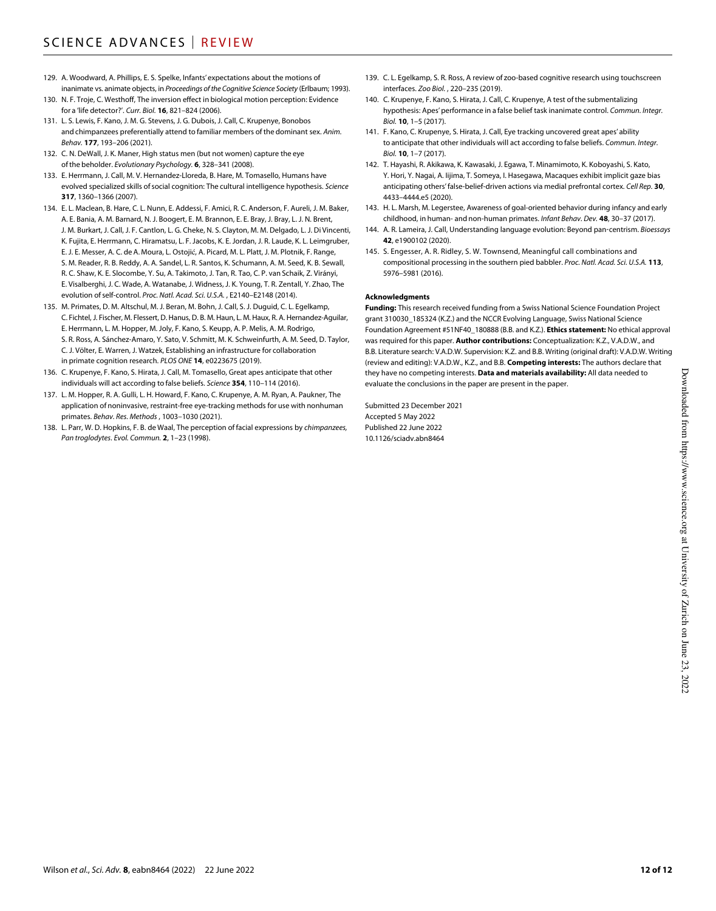- 129. A. Woodward, A. Phillips, E. S. Spelke, Infants' expectations about the motions of inanimate vs. animate objects, in *Proceedings of the Cognitive Science Society* (Erlbaum; 1993).
- 130. N. F. Troje, C. Westhoff, The inversion effect in biological motion perception: Evidence for a 'life detector?'. *Curr. Biol.* **16**, 821–824 (2006).
- 131. L. S. Lewis, F. Kano, J. M. G. Stevens, J. G. Dubois, J. Call, C. Krupenye, Bonobos and chimpanzees preferentially attend to familiar members of the dominant sex. *Anim. Behav.* **177**, 193–206 (2021).
- 132. C. N. DeWall, J. K. Maner, High status men (but not women) capture the eye of the beholder. *Evolutionary Psychology.* **6**, 328–341 (2008).
- 133. E. Herrmann, J. Call, M. V. Hernandez-Lloreda, B. Hare, M. Tomasello, Humans have evolved specialized skills of social cognition: The cultural intelligence hypothesis. *Science* **317**, 1360–1366 (2007).
- 134. E. L. Maclean, B. Hare, C. L. Nunn, E. Addessi, F. Amici, R. C. Anderson, F. Aureli, J. M. Baker, A. E. Bania, A. M. Barnard, N. J. Boogert, E. M. Brannon, E. E. Bray, J. Bray, L. J. N. Brent, J. M. Burkart, J. Call, J. F. Cantlon, L. G. Cheke, N. S. Clayton, M. M. Delgado, L. J. Di Vincenti, K. Fujita, E. Herrmann, C. Hiramatsu, L. F. Jacobs, K. E. Jordan, J. R. Laude, K. L. Leimgruber, E. J. E. Messer, A. C. de A. Moura, L. Ostojić, A. Picard, M. L. Platt, J. M. Plotnik, F. Range, S. M. Reader, R. B. Reddy, A. A. Sandel, L. R. Santos, K. Schumann, A. M. Seed, K. B. Sewall, R. C. Shaw, K. E. Slocombe, Y. Su, A. Takimoto, J. Tan, R. Tao, C. P. van Schaik, Z. Virányi, E. Visalberghi, J. C. Wade, A. Watanabe, J. Widness, J. K. Young, T. R. Zentall, Y. Zhao, The evolution of self-control. *Proc. Natl. Acad. Sci. U.S.A.* , E2140–E2148 (2014).
- 135. M. Primates, D. M. Altschul, M. J. Beran, M. Bohn, J. Call, S. J. Duguid, C. L. Egelkamp, C. Fichtel, J. Fischer, M. Flessert, D. Hanus, D. B. M. Haun, L. M. Haux, R. A. Hernandez-Aguilar, E. Herrmann, L. M. Hopper, M. Joly, F. Kano, S. Keupp, A. P. Melis, A. M. Rodrigo, S. R. Ross, A. Sánchez-Amaro, Y. Sato, V. Schmitt, M. K. Schweinfurth, A. M. Seed, D. Taylor, C. J. Völter, E. Warren, J. Watzek, Establishing an infrastructure for collaboration in primate cognition research. *PLOS ONE* **14**, e0223675 (2019).
- 136. C. Krupenye, F. Kano, S. Hirata, J. Call, M. Tomasello, Great apes anticipate that other individuals will act according to false beliefs. *Science* **354**, 110–114 (2016).
- 137. L. M. Hopper, R. A. Gulli, L. H. Howard, F. Kano, C. Krupenye, A. M. Ryan, A. Paukner, The application of noninvasive, restraint-free eye-tracking methods for use with nonhuman primates. *Behav. Res. Methods* , 1003–1030 (2021).
- 138. L. Parr, W. D. Hopkins, F. B. de Waal, The perception of facial expressions by *chimpanzees, Pan troglodytes*. *Evol. Commun.* **2**, 1–23 (1998).
- 139. C. L. Egelkamp, S. R. Ross, A review of zoo-based cognitive research using touchscreen interfaces. *Zoo Biol.* , 220–235 (2019).
- 140. C. Krupenye, F. Kano, S. Hirata, J. Call, C. Krupenye, A test of the submentalizing hypothesis: Apes' performance in a false belief task inanimate control. *Commun. Integr. Biol.* **10**, 1–5 (2017).
- 141. F. Kano, C. Krupenye, S. Hirata, J. Call, Eye tracking uncovered great apes' ability to anticipate that other individuals will act according to false beliefs. *Commun. Integr. Biol.* **10**, 1–7 (2017).
- 142. T. Hayashi, R. Akikawa, K. Kawasaki, J. Egawa, T. Minamimoto, K. Koboyashi, S. Kato, Y. Hori, Y. Nagai, A. Iijima, T. Someya, I. Hasegawa, Macaques exhibit implicit gaze bias anticipating others' false-belief-driven actions via medial prefrontal cortex. *Cell Rep.* **30**, 4433–4444.e5 (2020).
- 143. H. L. Marsh, M. Legerstee, Awareness of goal-oriented behavior during infancy and early childhood, in human- and non-human primates. *Infant Behav. Dev.* **48**, 30–37 (2017).
- 144. A. R. Lameira, J. Call, Understanding language evolution: Beyond pan‐centrism. *Bioessays* **42**, e1900102 (2020).
- 145. S. Engesser, A. R. Ridley, S. W. Townsend, Meaningful call combinations and compositional processing in the southern pied babbler. *Proc. Natl. Acad. Sci. U.S.A.* **113**, 5976–5981 (2016).

#### **Acknowledgments**

**Funding:** This research received funding from a Swiss National Science Foundation Project grant 310030\_185324 (K.Z.) and the NCCR Evolving Language, Swiss National Science Foundation Agreement #51NF40\_180888 (B.B. and K.Z.). **Ethics statement:** No ethical approval was required for this paper. **Author contributions:** Conceptualization: K.Z., V.A.D.W., and B.B. Literature search: V.A.D.W. Supervision: K.Z. and B.B. Writing (original draft): V.A.D.W. Writing (review and editing): V.A.D.W., K.Z., and B.B. **Competing interests:** The authors declare that they have no competing interests. **Data and materials availability:** All data needed to evaluate the conclusions in the paper are present in the paper.

Submitted 23 December 2021 Accepted 5 May 2022 Published 22 June 2022 10.1126/sciadv.abn8464